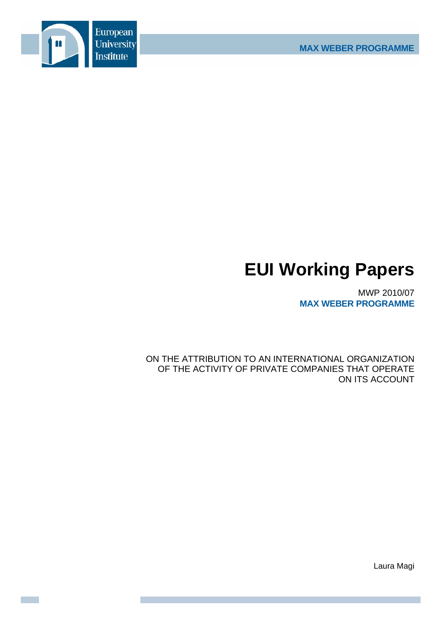

# **EUI Working Papers**

MWP 2010/07 **MAX WEBER PROGRAMME**

ON THE ATTRIBUTION TO AN INTERNATIONAL ORGANIZATION OF THE ACTIVITY OF PRIVATE COMPANIES THAT OPERATE ON ITS ACCOUNT

Laura Magi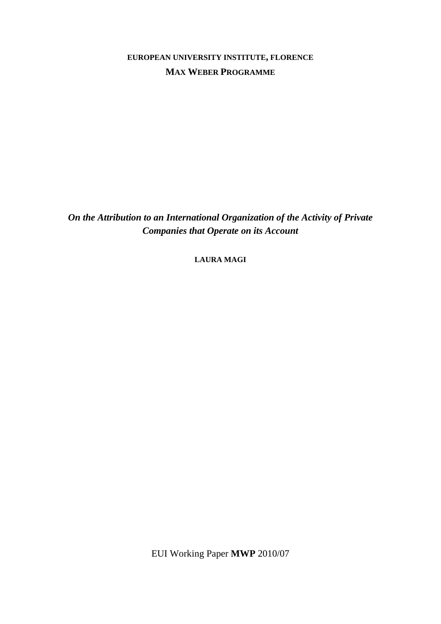**EUROPEAN UNIVERSITY INSTITUTE, FLORENCE MAX WEBER PROGRAMME**

*On the Attribution to an International Organization of the Activity of Private Companies that Operate on its Account* 

**LAURA MAGI**

EUI Working Paper **MWP** 2010/07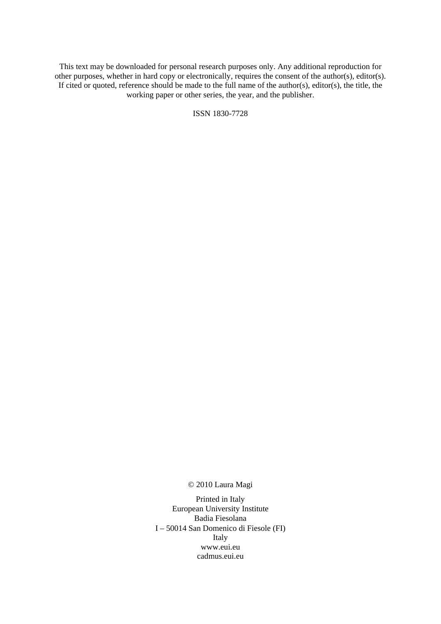This text may be downloaded for personal research purposes only. Any additional reproduction for other purposes, whether in hard copy or electronically, requires the consent of the author(s), editor(s). If cited or quoted, reference should be made to the full name of the author(s), editor(s), the title, the working paper or other series, the year, and the publisher.

ISSN 1830-7728

© 2010 Laura Magi

Printed in Italy European University Institute Badia Fiesolana I – 50014 San Domenico di Fiesole (FI) Italy [www.eui.eu](http://www.eui.eu/)  [cadmus.eui.eu](http://cadmus.eui.eu/dspace/index.jsp)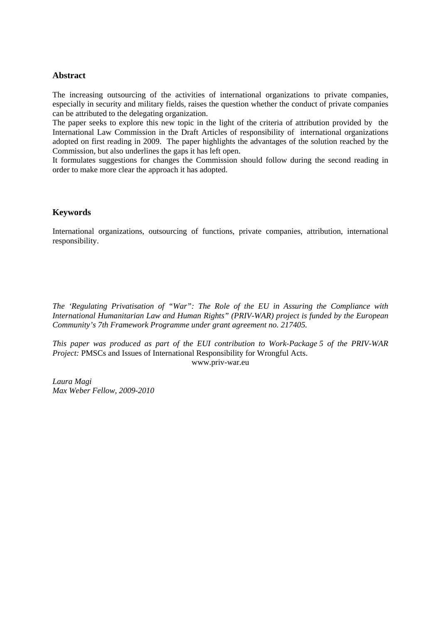## **Abstract**

The increasing outsourcing of the activities of international organizations to private companies, especially in security and military fields, raises the question whether the conduct of private companies can be attributed to the delegating organization.

The paper seeks to explore this new topic in the light of the criteria of attribution provided by the International Law Commission in the Draft Articles of responsibility of international organizations adopted on first reading in 2009. The paper highlights the advantages of the solution reached by the Commission, but also underlines the gaps it has left open.

It formulates suggestions for changes the Commission should follow during the second reading in order to make more clear the approach it has adopted.

# **Keywords**

International organizations, outsourcing of functions, private companies, attribution, international responsibility.

*The 'Regulating Privatisation of "War": The Role of the EU in Assuring the Compliance with International Humanitarian Law and Human Rights" (PRIV-WAR) project is funded by the European Community's 7th Framework Programme under grant agreement no. 217405.* 

*This paper was produced as part of the EUI contribution to Work-Package 5 of the PRIV-WAR Project: PMSCs and Issues of International Responsibility for Wrongful Acts.* [www.priv-war.eu](http://www.priv-war.eu/) 

*Laura Magi Max Weber Fellow, 2009-2010*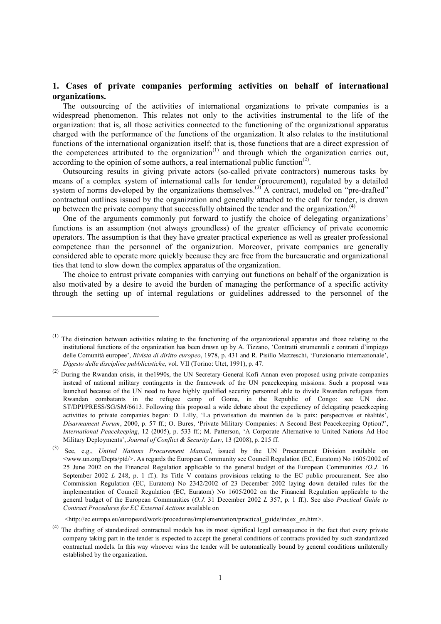# **1. Cases of private companies performing activities on behalf of international organizations.**

The outsourcing of the activities of international organizations to private companies is a widespread phenomenon. This relates not only to the activities instrumental to the life of the organization: that is, all those activities connected to the functioning of the organizational apparatus charged with the performance of the functions of the organization. It also relates to the institutional functions of the international organization itself: that is, those functions that are a direct expression of the competences attributed to the organization<sup> $(1)$ </sup> and through which the organization carries out, according to the opinion of some authors, a real international public function<sup> $(2)$ </sup>.

Outsourcing results in giving private actors (so-called private contractors) numerous tasks by means of a complex system of international calls for tender (procurement), regulated by a detailed system of norms developed by the organizations themselves.<sup>(3)</sup> A contract, modeled on "pre-drafted" contractual outlines issued by the organization and generally attached to the call for tender, is drawn up between the private company that successfully obtained the tender and the organization.<sup>(4)</sup>

One of the arguments commonly put forward to justify the choice of delegating organizations' functions is an assumption (not always groundless) of the greater efficiency of private economic operators. The assumption is that they have greater practical experience as well as greater professional competence than the personnel of the organization. Moreover, private companies are generally considered able to operate more quickly because they are free from the bureaucratic and organizational ties that tend to slow down the complex apparatus of the organization.

The choice to entrust private companies with carrying out functions on behalf of the organization is also motivated by a desire to avoid the burden of managing the performance of a specific activity through the setting up of internal regulations or guidelines addressed to the personnel of the

<u>.</u>

 $<sup>(1)</sup>$  The distinction between activities relating to the functioning of the organizational apparatus and those relating to the</sup> institutional functions of the organization has been drawn up by A. Tizzano, 'Contratti strumentali e contratti d'impiego delle Comunità europee', *Rivista di diritto europeo*, 1978, p. 431 and R. Pisillo Mazzeschi, 'Funzionario internazionale', *Digesto delle discipline pubblicistiche*, vol. VII (Torino: Utet, 1991), p. 47.

<sup>&</sup>lt;sup>(2)</sup> During the Rwandan crisis, in the1990s, the UN Secretary-General Kofi Annan even proposed using private companies instead of national military contingents in the framework of the UN peacekeeping missions. Such a proposal was launched because of the UN need to have highly qualified security personnel able to divide Rwandan refugees from Rwandan combatants in the refugee camp of Goma, in the Republic of Congo: see UN doc. ST/DPI/PRESS/SG/SM/6613. Following this proposal a wide debate about the expediency of delegating peacekeeping activities to private companies began: D. Lilly, 'La privatisation du maintien de la paix: perspectives et réalités', *Disarmament Forum*, 2000, p. 57 ff.; O. Bures, 'Private Military Companies: A Second Best Peacekeeping Option?', *International Peacekeeping*, 12 (2005), p. 533 ff.; M. Patterson, 'A Corporate Alternative to United Nations Ad Hoc Military Deployments', *Journal of Conflict & Security Law*, 13 (2008), p. 215 ff.

<sup>(3)</sup> See, e.g., *United Nations Procurement Manual*, issued by the UN Procurement Division available on <www.un.org/Depts/ptd/>. As regards the European Community see Council Regulation (EC, Euratom) No 1605/2002 of 25 June 2002 on the Financial Regulation applicable to the general budget of the European Communities *(O.J.* 16 September 2002 *L* 248, p. 1 ff.). Its Title V contains provisions relating to the EC public procurement. See also Commission Regulation (EC, Euratom) No 2342/2002 of 23 December 2002 laying down detailed rules for the implementation of Council Regulation (EC, Euratom) No 1605/2002 on the Financial Regulation applicable to the general budget of the European Communities (*O.J.* 31 December 2002 *L* 357, p. 1 ff.). See also *Practical Guide to Contract Procedures for EC External Actions* available on

<sup>&</sup>lt;http://ec.europa.eu/europeaid/work/procedures/implementation/practical\_guide/index\_en.htm>.

 $<sup>(4)</sup>$  The drafting of standardized contractual models has its most significal legal consequence in the fact that every private</sup> company taking part in the tender is expected to accept the general conditions of contracts provided by such standardized contractual models. In this way whoever wins the tender will be automatically bound by general conditions unilaterally established by the organization.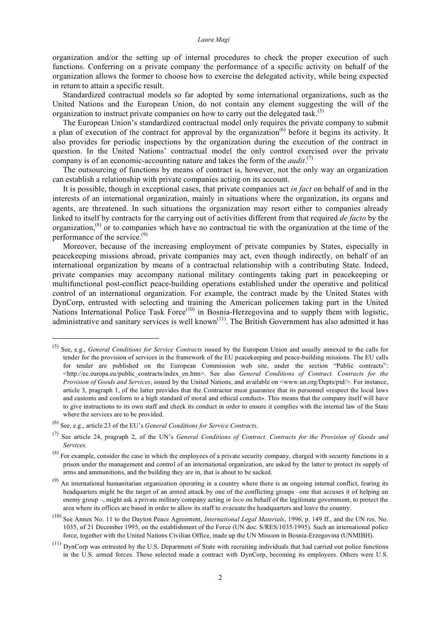organization and/or the setting up of internal procedures to check the proper execution of such functions. Conferring on a private company the performance of a specific activity on behalf of the organization allows the former to choose how to exercise the delegated activity, while being expected in return to attain a specific result.

Standardized contractual models so far adopted by some international organizations, such as the United Nations and the European Union, do not contain any element suggesting the will of the organization to instruct private companies on how to carry out the delegated task.<sup>(5)</sup>

The European Union's standardized contractual model only requires the private company to submit a plan of execution of the contract for approval by the organization<sup>(6)</sup> before it begins its activity. It also provides for periodic inspections by the organization during the execution of the contract in question. In the United Nations' contractual model the only control exercised over the private company is of an economic-accounting nature and takes the form of the  $audit$ .<sup>(7)</sup>

The outsourcing of functions by means of contract is, however, not the only way an organization can establish a relationship with private companies acting on its account.

It is possible, though in exceptional cases, that private companies act *in fact* on behalf of and in the interests of an international organization, mainly in situations where the organization, its organs and agents, are threatened. In such situations the organization may resort either to companies already linked to itself by contracts for the carrying out of activities different from that required *de facto* by the organization,<sup>(8)</sup> or to companies which have no contractual tie with the organization at the time of the performance of the service.(9)

Moreover, because of the increasing employment of private companies by States, especially in peacekeeping missions abroad, private companies may act, even though indirectly, on behalf of an international organization by means of a contractual relationship with a contributing State. Indeed, private companies may accompany national military contingents taking part in peacekeeping or multifunctional post-conflict peace-building operations established under the operative and political control of an international organization. For example, the contract made by the United States with DynCorp, entrusted with selecting and training the American policemen taking part in the United Nations International Police Task  $\text{Force}^{(10)}$  in Bosnia-Herzegovina and to supply them with logistic, administrative and sanitary services is well known<sup>(11)</sup>. The British Government has also admitted it has

 <sup>(5)</sup> See, e.g., *General Conditions for Service Contracts* issued by the European Union and usually annexed to the calls for tender for the provision of services in the framework of the EU peacekeeping and peace-building missions. The EU calls for tender are published on the European Commission web site, under the section "Public contracts": <http://ec.europa.eu/public\_contracts/index\_en.htm>. See also *General Conditions of Contract. Contracts for the Provision of Goods and Services*, issued by the United Nations, and available on <www.un.org/Depts/ptd/>. For instance, article 3, pragraph 1, of the latter provides that the Contractor must guarantee that its personnel «respect the local laws and customs and conform to a high standard of moral and ethical conduct». This means that the company itself will have to give instructions to its own staff and check its conduct in order to ensure it complies with the internal law of the State where the services are to be provided.

<sup>(6)</sup> See, e.g., article 23 of the EU's *General Conditions for Service Contracts*.

<sup>(7)</sup> See article 24, pragraph 2, of the UN's *General Conditions of Contract. Contracts for the Provision of Goods and Services*.

 $^{(8)}$  For example, consider the case in which the employees of a private security company, charged with security functions in a prison under the management and control of an international organization, are asked by the latter to protect its supply of arms and ammunitions, and the building they are in, that is about to be sacked.

 $(9)$  An international humanitarian organization operating in a country where there is an ongoing internal conflict, fearing its headquarters might be the target of an armed attack by one of the conflicting groups –one that accuses it of helping an enemy group –, might ask a private military company acting *in loco* on behalf of the legitimate government, to protect the area where its offices are based in order to allow its staff to evacuate the headquarters and leave the country.

<sup>(10)</sup> See Annex No. 11 to the Dayton Peace Agreement, *International Legal Materials*, 1996, p. 149 ff., and the UN res. No. 1035, of 21 December 1995, on the establishment of the Force (UN doc. S/RES/1035/1995). Such an international police force, together with the United Nations Civilian Office, made up the UN Mission in Bosnia-Erzegovina (UNMIBH).

 $(11)$  DynCorp was entrusted by the U.S. Department of State with recruiting individuals that had carried out police functions in the U.S. armed forces. Those selected made a contract with DynCorp, becoming its employees. Others were U.S.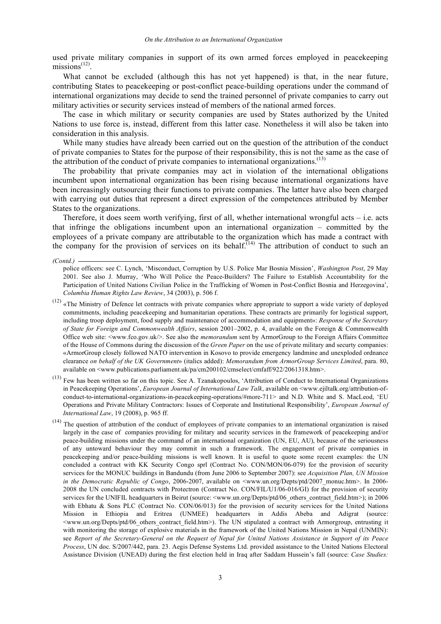used private military companies in support of its own armed forces employed in peacekeeping  $missions$ <sup>(12)</sup>.

What cannot be excluded (although this has not yet happened) is that, in the near future, contributing States to peacekeeping or post-conflict peace-building operations under the command of international organizations may decide to send the trained personnel of private companies to carry out military activities or security services instead of members of the national armed forces.

The case in which military or security companies are used by States authorized by the United Nations to use force is, instead, different from this latter case. Nonetheless it will also be taken into consideration in this analysis.

While many studies have already been carried out on the question of the attribution of the conduct of private companies to States for the purpose of their responsibility, this is not the same as the case of the attribution of the conduct of private companies to international organizations.<sup>(13)</sup>

The probability that private companies may act in violation of the international obligations incumbent upon international organization has been rising because international organizations have been increasingly outsourcing their functions to private companies. The latter have also been charged with carrying out duties that represent a direct expression of the competences attributed by Member States to the organizations.

Therefore, it does seem worth verifying, first of all, whether international wrongful acts  $-$  i.e. acts that infringe the obligations incumbent upon an international organization – committed by the employees of a private company are attributable to the organization which has made a contract with the company for the provision of services on its behalf.<sup>[14]</sup> The attribution of conduct to such an

(13) Few has been written so far on this topic. See A. Tzanakopoulos, 'Attribution of Conduct to International Organizations in Peacekeeping Operations', *European Journal of International Law Talk*, available on <www.ejiltalk.org/attribution-ofconduct-to-international-organizations-in-peacekeeping-operations/#more-711> and N.D. White and S. MacLeod, 'EU Operations and Private Military Contractors: Issues of Corporate and Institutional Responsibility', *European Journal of International Law*, 19 (2008), p. 965 ff.

*<sup>(</sup>Contd.)* 

police officers: see C. Lynch, 'Misconduct, Corruption by U.S. Police Mar Bosnia Mission', *Washington Post*, 29 May 2001. See also J. Murray, 'Who Will Police the Peace-Builders? The Failure to Establish Accountability for the Participation of United Nations Civilian Police in the Trafficking of Women in Post-Conflict Bosnia and Herzegovina', *Columbia Human Rights Law Review*, 34 (2003), p. 506 f.

<sup>(12)</sup> «The Ministry of Defence let contracts with private companies where appropriate to support a wide variety of deployed commitments, including peacekeeping and humanitarian operations. These contracts are primarily for logistical support, including troop deployment, food supply and maintenance of accommodation and equipment»: *Response of the Secretary of State for Foreign and Commonwealth Affairs*, session 2001–2002, p. 4, available on the Foreign & Commonwealth Office web site: <www.fco.gov.uk/>. See also the *memorandum* sent by ArmorGroup to the Foreign Affairs Committee of the House of Commons during the discussion of the *Green Paper* on the use of private military and securty companies: «ArmorGroup closely followed NATO intervention in Kosovo to provide emergency landmine and unexploded ordnance clearance *on behalf of the UK Government*» (italics added): *Memorandum from ArmorGroup Services Limited*, para. 80, available on <www.publications.parliament.uk/pa/cm200102/cmselect/cmfaff/922/2061318.htm>.

 $(14)$  The question of attribution of the conduct of employees of private companies to an international organization is raised largely in the case of companies providing for military and security services in the framework of peacekeeping and/or peace-building missions under the command of an international organization (UN, EU, AU), because of the seriousness of any untoward behaviour they may commit in such a framework. The engagement of private companies in peacekeeping and/or peace-building missions is well known. It is useful to quote some recent examples: the UN concluded a contract with KK Security Congo sprl (Contract No. CON/MON/06-079) for the provision of security services for the MONUC buildings in Bandundu (from June 2006 to September 2007): see *Acquisition Plan, UN Mission in the Democratic Republic of Congo*, 2006-2007, available on <www.un.org/Depts/ptd/2007\_monuc.htm>. In 2006- 2008 the UN concluded contracts with Protectron (Contract No. CON/FIL/U1/06-016/GI) for the provision of security services for the UNIFIL headquarters in Beirut (source: <www.un.org/Depts/ptd/06\_others\_contract\_field.htm>); in 2006 with Ebhatu & Sons PLC (Contract No. CON/06/013) for the provision of security services for the United Nations Mission in Ethiopia and Eritrea (UNMEE) headquarters in Addis Abeba and Adigrat (source: <www.un.org/Depts/ptd/06\_others\_contract\_field.htm>). The UN stipulated a contract with Armorgroup, entrusting it with monitoring the storage of explosive materials in the framework of the United Nations Mission in Nepal (UNMIN): see Report of the Secretary-General on the Request of Nepal for United Nations Assistance in Support of its Peace *Process*, UN doc. S/2007/442, para. 23. Aegis Defense Systems Ltd. provided assistance to the United Nations Electoral Assistance Division (UNEAD) during the first election held in Iraq after Saddam Hussein's fall (source: *Case Studies:*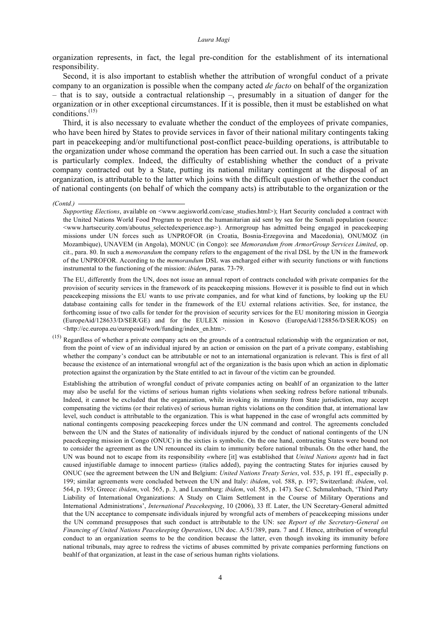organization represents, in fact, the legal pre-condition for the establishment of its international responsibility.

Second, it is also important to establish whether the attribution of wrongful conduct of a private company to an organization is possible when the company acted *de facto* on behalf of the organization – that is to say, outside a contractual relationship –, presumably in a situation of danger for the organization or in other exceptional circumstances. If it is possible, then it must be established on what conditions. (15)

Third, it is also necessary to evaluate whether the conduct of the employees of private companies, who have been hired by States to provide services in favor of their national military contingents taking part in peacekeeping and/or multifunctional post-conflict peace-building operations, is attributable to the organization under whose command the operation has been carried out. In such a case the situation is particularly complex. Indeed, the difficulty of establishing whether the conduct of a private company contracted out by a State, putting its national military contingent at the disposal of an organization, is attributable to the latter which joins with the difficult question of whether the conduct of national contingents (on behalf of which the company acts) is attributable to the organization or the

The EU, differently from the UN, does not issue an annual report of contracts concluded with private companies for the provision of security services in the framework of its peacekeeping missions. However it is possible to find out in which peacekeeping missions the EU wants to use private companies, and for what kind of functions, by looking up the EU database containing calls for tender in the framework of the EU external relations activities. See, for instance, the forthcoming issue of two calls for tender for the provision of security services for the EU monitoring mission in Georgia (EuropeAid/128633/D/SER/GE) and for the EULEX mission in Kosovo (EuropeAid/128856/D/SER/KOS) on <http://ec.europa.eu/europeaid/work/funding/index\_en.htm>.

 $(15)$  Regardless of whether a private company acts on the grounds of a contractual relationship with the organization or not, from the point of view of an individual injured by an action or omission on the part of a private company, establishing whether the company's conduct can be attributable or not to an international organization is relevant. This is first of all because the existence of an international wrongful act of the organization is the basis upon which an action in diplomatic protection against the organization by the State entitled to act in favour of the victim can be grounded.

Establishing the attribution of wrongful conduct of private companies acting on beahlf of an organization to the latter may also be useful for the victims of serious human rights violations when seeking redress before national tribunals. Indeed, it cannot be excluded that the organization, while invoking its immunity from State jurisdiction, may accept compensating the victims (or their relatives) of serious human rights violations on the condition that, at international law level, such conduct is attributable to the organization. This is what happened in the case of wrongful acts committed by national contingents composing peacekeeping forces under the UN command and control. The agreements concluded between the UN and the States of nationality of individuals injured by the conduct of national contingents of the UN peacekeeping mission in Congo (ONUC) in the sixties is symbolic. On the one hand, contracting States were bound not to consider the agreement as the UN renounced its claim to immunity before national tribunals. On the other hand, the UN was bound not to escape from its responsibility «where [it] was established that *United Nations agents* had in fact caused injustifiable damage to innocent parties» (italics added), paying the contracting States for injuries caused by ONUC (see the agreement between the UN and Belgium: *United Nations Treaty Series*, vol. 535, p. 191 ff., especially p. 199; similar agreements were concluded between the UN and Italy: *ibidem*, vol. 588, p. 197; Switzerland: *ibidem*, vol. 564, p. 193; Greece: *ibidem*, vol. 565, p. 3, and Luxemburg: *ibidem*, vol. 585, p. 147). See C. Schmalenbach, 'Third Party Liability of International Organizations: A Study on Claim Settlement in the Course of Military Operations and International Administrations', *International Peacekeeping*, 10 (2006), 33 ff. Later, the UN Secretary-General admitted that the UN acceptance to compensate individuals injured by wrongful acts of members of peacekeeping missions under the UN command presupposes that such conduct is attributable to the UN: see *Report of the Secretary-General on Financing of United Nations Peacekeeping Operations*, UN doc. A/51/389, para. 7 and f. Hence, attribution of wrongful conduct to an organization seems to be the condition because the latter, even though invoking its immunity before national tribunals, may agree to redress the victims of abuses committed by private companies performing functions on beahlf of that organization, at least in the case of serious human rights violations.

*<sup>(</sup>Contd.)* 

*Supporting Elections*, available on <www.aegisworld.com/case\_studies.html>); Hart Security concluded a contract with the United Nations World Food Program to protect the humanitarian aid sent by sea for the Somali population (source: <www.hartsecurity.com/aboutus\_selectedexperience.asp>). Armorgroup has admitted being engaged in peacekeeping missions under UN forces such as UNPROFOR (in Croatia, Bosnia-Erzegovina and Macedonia), ONUMOZ (in Mozambique), UNAVEM (in Angola), MONUC (in Congo): see *Memorandum from ArmorGroup Services Limited*, op. cit., para. 80. In such a *memorandum* the company refers to the engagement of the rival DSL by the UN in the framework of the UNPROFOR. According to the *memorandum* DSL was encharged either with security functions or with functions instrumental to the functioning of the mission: *ibidem*, paras. 73-79.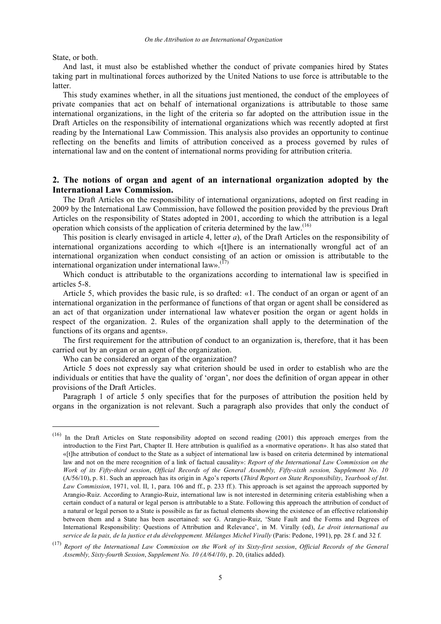State, or both.

And last, it must also be established whether the conduct of private companies hired by States taking part in multinational forces authorized by the United Nations to use force is attributable to the latter.

This study examines whether, in all the situations just mentioned, the conduct of the employees of private companies that act on behalf of international organizations is attributable to those same international organizations, in the light of the criteria so far adopted on the attribution issue in the Draft Articles on the responsibility of international organizations which was recently adopted at first reading by the International Law Commission. This analysis also provides an opportunity to continue reflecting on the benefits and limits of attribution conceived as a process governed by rules of international law and on the content of international norms providing for attribution criteria.

## **2. The notions of organ and agent of an international organization adopted by the International Law Commission.**

The Draft Articles on the responsibility of international organizations, adopted on first reading in 2009 by the International Law Commission, have followed the position provided by the previous Draft Articles on the responsibility of States adopted in 2001, according to which the attribution is a legal operation which consists of the application of criteria determined by the law.<sup>(16)</sup>

This position is clearly envisaged in article 4, letter *a*), of the Draft Articles on the responsibility of international organizations according to which «[t]here is an internationally wrongful act of an international organization when conduct consisting of an action or omission is attributable to the international organization under international law». $^{(17)}$ 

Which conduct is attributable to the organizations according to international law is specified in articles 5-8.

Article 5, which provides the basic rule, is so drafted: «1. The conduct of an organ or agent of an international organization in the performance of functions of that organ or agent shall be considered as an act of that organization under international law whatever position the organ or agent holds in respect of the organization. 2. Rules of the organization shall apply to the determination of the functions of its organs and agents».

The first requirement for the attribution of conduct to an organization is, therefore, that it has been carried out by an organ or an agent of the organization.

Who can be considered an organ of the organization?

Article 5 does not expressly say what criterion should be used in order to establish who are the individuals or entities that have the quality of 'organ', nor does the definition of organ appear in other provisions of the Draft Articles.

Paragraph 1 of article 5 only specifies that for the purposes of attribution the position held by organs in the organization is not relevant. Such a paragraph also provides that only the conduct of

 <sup>(16)</sup> In the Draft Articles on State responsibility adopted on second reading (2001) this approach emerges from the introduction to the First Part, Chapter II. Here attribution is qualified as a «normative operation». It has also stated that «[t]he attribution of conduct to the State as a subject of international law is based on criteria determined by international law and not on the mere recognition of a link of factual causality»: *Report of the International Law Commission on the* Work of its Fifty-third session, Official Records of the General Assembly, Fifty-sixth session, Supplement No. 10 (A/56/10), p. 81. Such an approach has its origin in Ago's reports (*Third Report on State Responsibility*, *Yearbook of Int. Law Commission*, 1971, vol. II, 1, para. 106 and ff., p. 233 ff.). This approach is set against the approach supported by Arangio-Ruiz. According to Arangio-Ruiz, international law is not interested in determining criteria establishing when a certain conduct of a natural or legal person is attributable to a State. Following this approach the attribution of conduct of a natural or legal person to a State is possibile as far as factual elements showing the existence of an effective relationship between them and a State has been ascertained: see G. Arangio-Ruiz, 'State Fault and the Forms and Degrees of International Responsibility: Questions of Attribution and Relevance', in M. Virally (ed), *Le droit international au service de la paix, de la justice et du développement. Mélanges Michel Virally* (Paris: Pedone, 1991), pp. 28 f. and 32 f.

 $(17)$  Report of the International Law Commission on the Work of its Sixty-first session, Official Records of the General *Assembly, Sixty-fourth Session*, *Supplement No. 10 (A/64/10)*, p. 20, (italics added).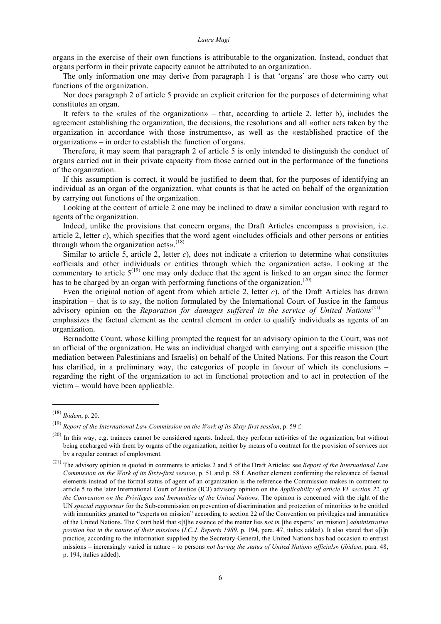organs in the exercise of their own functions is attributable to the organization. Instead, conduct that organs perform in their private capacity cannot be attributed to an organization.

The only information one may derive from paragraph 1 is that 'organs' are those who carry out functions of the organization.

Nor does paragraph 2 of article 5 provide an explicit criterion for the purposes of determining what constitutes an organ.

It refers to the «rules of the organization» – that, according to article 2, letter b), includes the agreement establishing the organization, the decisions, the resolutions and all «other acts taken by the organization in accordance with those instruments», as well as the «established practice of the organization» – in order to establish the function of organs.

Therefore, it may seem that paragraph 2 of article 5 is only intended to distinguish the conduct of organs carried out in their private capacity from those carried out in the performance of the functions of the organization.

If this assumption is correct, it would be justified to deem that, for the purposes of identifying an individual as an organ of the organization, what counts is that he acted on behalf of the organization by carrying out functions of the organization.

Looking at the content of article 2 one may be inclined to draw a similar conclusion with regard to agents of the organization.

Indeed, unlike the provisions that concern organs, the Draft Articles encompass a provision, i.e. article 2, letter *c*), which specifies that the word agent «includes officials and other persons or entities through whom the organization acts».<sup>(18)</sup>

Similar to article 5, article 2, letter *c*), does not indicate a criterion to determine what constitutes «officials and other individuals or entities through which the organization acts». Looking at the commentary to article  $5^{(19)}$  one may only deduce that the agent is linked to an organ since the former has to be charged by an organ with performing functions of the organization.<sup> $(20)$ </sup>

Even the original notion of agent from which article 2, letter  $c$ ), of the Draft Articles has drawn inspiration – that is to say, the notion formulated by the International Court of Justice in the famous advisory opinion on the *Reparation for damages suffered in the service of United Nations* (21) – emphasizes the factual element as the central element in order to qualify individuals as agents of an organization.

Bernadotte Count, whose killing prompted the request for an advisory opinion to the Court, was not an official of the organization. He was an individual charged with carrying out a specific mission (the mediation between Palestinians and Israelis) on behalf of the United Nations. For this reason the Court has clarified, in a preliminary way, the categories of people in favour of which its conclusions – regarding the right of the organization to act in functional protection and to act in protection of the victim – would have been applicable.

 <sup>(18)</sup> *Ibidem*, p. 20.

<sup>(19)</sup> *Report of the International Law Commission on the Work of its Sixty-first session*, p. 59 f.

<sup>(20)</sup> In this way, e.g. trainees cannot be considered agents. Indeed, they perform activities of the organization, but without being encharged with them by organs of the organization, neither by means of a contract for the provision of services nor by a regular contract of employment.

<sup>(21)</sup> The advisory opinion is quoted in comments to articles 2 and 5 of the Draft Articles: see *Report of the International Law Commission on the Work of its Sixty-first session*, p. 51 and p. 58 f. Another element confirming the relevance of factual elements instead of the formal status of agent of an organization is the reference the Commission makes in comment to article 5 to the later International Court of Justice (ICJ) advisory opinion on the *Applicability of article VI, section 22, of the Convention on the Privileges and Immunities of the United Nations.* The opinion is concerned with the right of the UN *special rapporteur* for the Sub-commission on prevention of discrimination and protection of minorities to be entitled with immunities granted to "experts on mission" according to section 22 of the Convention on privilegies and immunities of the United Nations. The Court held that «[t]he essence of the matter lies *not in* [the experts' on mission] *administrative position but in the nature of their mission*» (*I.C.J. Reports 1989*, p. 194, para. 47, italics added). It also stated that «[i]n practice, according to the information supplied by the Secretary-General, the United Nations has had occasion to entrust missions – increasingly varied in nature – to persons *not having the status of United Nations officials*» (*ibidem*, para. 48, p. 194, italics added).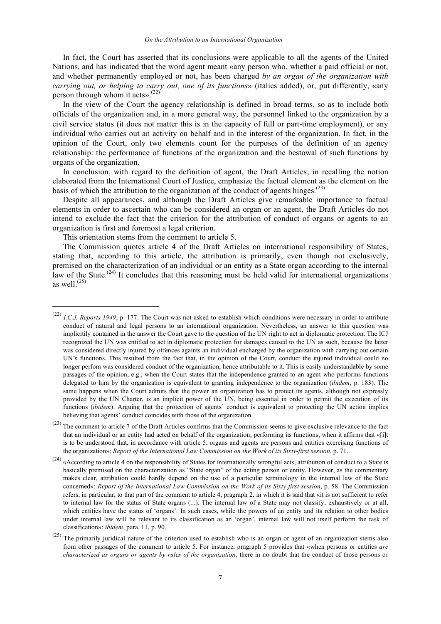In fact, the Court has asserted that its conclusions were applicable to all the agents of the United Nations, and has indicated that the word agent meant «any person who, whether a paid official or not, and whether permanently employed or not, has been charged *by an organ of the organization with carrying out, or helping to carry out, one of its functions*» (italics added), or, put differently, «any person through whom it acts». (22)

In the view of the Court the agency relationship is defined in broad terms, so as to include both officials of the organization and, in a more general way, the personnel linked to the organization by a civil service status (it does not matter this is in the capacity of full or part-time employment), or any individual who carries out an activity on behalf and in the interest of the organization. In fact, in the opinion of the Court, only two elements count for the purposes of the definition of an agency relationship: the performance of functions of the organization and the bestowal of such functions by organs of the organization.

In conclusion, with regard to the definition of agent, the Draft Articles, in recalling the notion elaborated from the International Court of Justice, emphasize the factual element as the element on the basis of which the attribution to the organization of the conduct of agents hinges.<sup> $(23)$ </sup>

Despite all appearances, and although the Draft Articles give remarkable importance to factual elements in order to ascertain who can be considered an organ or an agent, the Draft Articles do not intend to exclude the fact that the criterion for the attribution of conduct of organs or agents to an organization is first and foremost a legal criterion.

This orientation stems from the comment to article 5.

The Commission quotes article 4 of the Draft Articles on international responsibility of States, stating that, according to this article, the attribution is primarily, even though not exclusively, premised on the characterization of an individual or an entity as a State organ according to the internal law of the State.<sup> $(24)$ </sup> It concludes that this reasoning must be held valid for international organizations as well. $^{(25)}$ 

 <sup>(22)</sup> *I.C.J. Reports <sup>1949</sup>*, p. 177. The Court was not asked to establish which conditions were necessary in order to attribute conduct of natural and legal persons to an international organization. Nevertheless, an answer to this question was implicitily contained in the answer the Court gave to the question of the UN right to act in diplomatic protection. The ICJ recognized the UN was entitled to act in diplomatic protection for damages caused to the UN as such, because the latter was considered directly injured by offences againts an individual encharged by the organization with carrying out certain UN's functions. This resulted from the fact that, in the opinion of the Court, conduct the injured individual could no longer perfom was considered conduct of the organization, hence attributable to it. This is easily understandable by some passages of the opinion, e.g., when the Court states that the independence granted to an agent who performs functions delegated to him by the organization is equivalent to granting independence to the organization (*ibidem*, p. 183). The same happens when the Court admits that the power an organization has to protect its agents, although not expressly provided by the UN Charter, is an implicit power of the UN, being essential in order to permit the execution of its functions (*ibidem*). Arguing that the protection of agents' conduct is equivalent to protecting the UN action implies believing that agents' conduct coincides with those of the organization.

<sup>(23)</sup> The comment to article 7 of the Draft Articles confirms that the Commission seems to give exclusive relevance to the fact that an individual or an entity had acted on behalf of the organization, performing its functions, when it affirms that «[i]t is to be understood that, in accordance with article 5, organs and agents are persons and entities exercising functions of the organization»: *Report of the International Law Commission on the Work of its Sixty-first session*, p. 71.

 $(24)$  «According to article 4 on the responsibility of States for internationally wrongful acts, attribution of conduct to a State is basically premised on the characterization as "State organ" of the acting person or entity. However, as the commentary makes clear, attribution could hardly depend on the use of a particular terminology in the internal law of the State concerned»: *Report of the International Law Commission on the Work of its Sixty-first session*, p. 58. The Commission refers, in particular, to that part of the comment to article 4, pragraph 2, in which it is said that «it is not sufficient to refer to internal law for the status of State organs (...). The internal law of a State may not classify, exhaustively or at all, which entities have the status of 'organs'. In such cases, while the powers of an entity and its relation to other bodies under internal law will be relevant to its classification as an 'organ', internal law will not itself perform the task of classification»: *ibidem*, para. 11, p. 90.

 $(25)$  The primarily juridical nature of the criterion used to establish who is an organ or agent of an organization stems also from other passages of the comment to article 5. For instance, pragraph 5 provides that «when persons or entities *are characterized as organs or agents by rules of the organization*, there in no doubt that the conduct of those persons or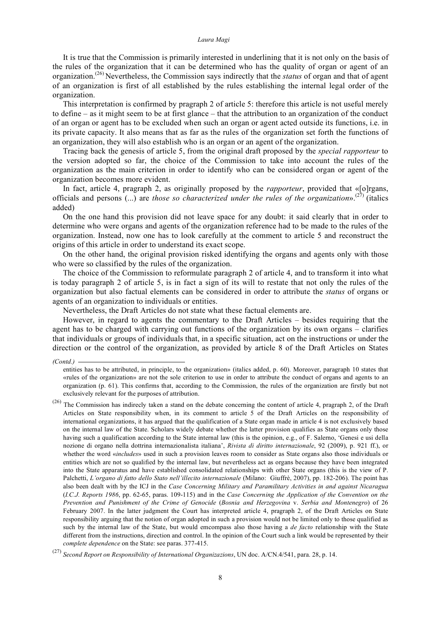It is true that the Commission is primarily interested in underlining that it is not only on the basis of the rules of the organization that it can be determined who has the quality of organ or agent of an organization. (26) Nevertheless, the Commission says indirectly that the *status* of organ and that of agent of an organization is first of all established by the rules establishing the internal legal order of the organization.

This interpretation is confirmed by pragraph 2 of article 5: therefore this article is not useful merely to define – as it might seem to be at first glance – that the attribution to an organization of the conduct of an organ or agent has to be excluded when such an organ or agent acted outside its functions, i.e. in its private capacity. It also means that as far as the rules of the organization set forth the functions of an organization, they will also establish who is an organ or an agent of the organization.

Tracing back the genesis of article 5, from the original draft proposed by the *special rapporteur* to the version adopted so far, the choice of the Commission to take into account the rules of the organization as the main criterion in order to identify who can be considered organ or agent of the organization becomes more evident.

In fact, article 4, pragraph 2, as originally proposed by the *rapporteur*, provided that «[o]rgans, officials and persons (...) are *those so characterized under the rules of the organization*». (27) (italics added)

On the one hand this provision did not leave space for any doubt: it said clearly that in order to determine who were organs and agents of the organization reference had to be made to the rules of the organization. Instead, now one has to look carefully at the comment to article 5 and reconstruct the origins of this article in order to understand its exact scope.

On the other hand, the original provision risked identifying the organs and agents only with those who were so classified by the rules of the organization.

The choice of the Commission to reformulate paragraph 2 of article 4, and to transform it into what is today paragraph 2 of article 5, is in fact a sign of its will to restate that not only the rules of the organization but also factual elements can be considered in order to attribute the *status* of organs or agents of an organization to individuals or entities.

Nevertheless, the Draft Articles do not state what these factual elements are.

However, in regard to agents the commentary to the Draft Articles – besides requiring that the agent has to be charged with carrying out functions of the organization by its own organs – clarifies that individuals or groups of individuals that, in a specific situation, act on the instructions or under the direction or the control of the organization, as provided by article 8 of the Draft Articles on States

*<sup>(</sup>Contd.)* 

entities has to be attributed, in principle, to the organization» (italics added, p. 60). Moreover, paragraph 10 states that «rules of the organization» are not the sole criterion to use in order to attribute the conduct of organs and agents to an organization (p. 61). This confirms that, according to the Commission, the rules of the organization are firstly but not exclusively relevant for the purposes of attribution.

<sup>(26)</sup> The Commission has indirecly taken a stand on the debate concerning the content of article 4, pragraph 2, of the Draft Articles on State responsibility when, in its comment to article 5 of the Draft Articles on the responsibility of international organizations, it has argued that the qualification of a State organ made in article 4 is not exclusively based on the internal law of the State. Scholars widely debate whether the latter provision qualifies as State organs only those having such a qualification according to the State internal law (this is the opinion, e.g., of F. Salerno, 'Genesi e usi della nozione di organo nella dottrina internazionalista italiana', *Rivista di diritto internazionale*, 92 (2009), p. 921 ff.), or whether the word «*includes*» used in such a provision leaves room to consider as State organs also those individuals or entities which are not so qualified by the internal law, but nevertheless act as organs because they have been integrated into the State apparatus and have established consolidated relationships with other State organs (this is the view of P. Palchetti, *L'organo di fatto dello Stato nell'illecito internazionale* (Milano: Giuffrè, 2007), pp. 182-206). The point has also been dealt with by the ICJ in the *Case Concerning Military and Paramilitary Activities in and against Nicaragua* (*I.C.J. Reports 1986*, pp. 62-65, paras. 109-115) and in the *Case Concerning the Application of the Convention on the Prevention and Punishment of the Crime of Genocide* (*Bosnia and Herzegovina* v. *Serbia and Montenegro*) of 26 February 2007. In the latter judgment the Court has interpreted article 4, pragraph 2, of the Draft Articles on State responsibility arguing that the notion of organ adopted in such a provision would not be limited only to those qualified as such by the internal law of the State, but would emcompass also those having a *de facto* relationship with the State different from the instructions, direction and control. In the opinion of the Court such a link would be represented by their *complete dependence* on the State: see paras. 377-415.

<sup>(27)</sup> *Second Report on Responsibility of International Organizazions*, UN doc. A/CN.4/541, para. 28, p. 14.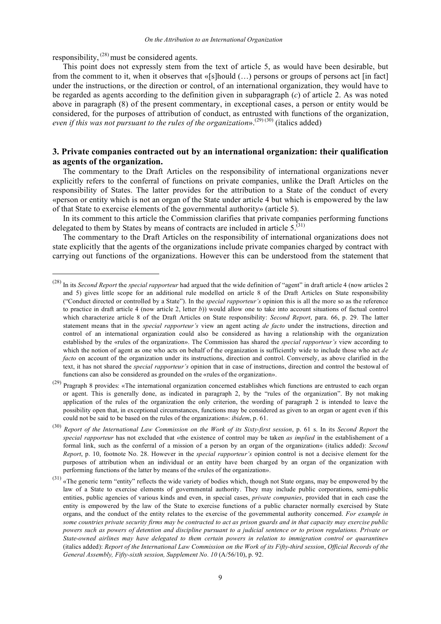responsibility,  $^{(28)}$  must be considered agents.

This point does not expressly stem from the text of article 5, as would have been desirable, but from the comment to it, when it observes that «[s]hould (…) persons or groups of persons act [in fact] under the instructions, or the direction or control, of an international organization, they would have to be regarded as agents according to the definition given in subparagraph (*c*) of article 2. As was noted above in paragraph (8) of the present commentary, in exceptional cases, a person or entity would be considered, for the purposes of attribution of conduct, as entrusted with functions of the organization, even if this was not pursuant to the rules of the organization».<sup>(29) (30)</sup> (italics added)

# **3. Private companies contracted out by an international organization: their qualification as agents of the organization.**

The commentary to the Draft Articles on the responsibility of international organizations never explicitly refers to the conferral of functions on private companies, unlike the Draft Articles on the responsibility of States. The latter provides for the attribution to a State of the conduct of every «person or entity which is not an organ of the State under article 4 but which is empowered by the law of that State to exercise elements of the governmental authority» (article 5).

In its comment to this article the Commission clarifies that private companies performing functions delegated to them by States by means of contracts are included in article  $5^{(31)}$ .

The commentary to the Draft Articles on the responsibility of international organizations does not state explicitly that the agents of the organizations include private companies charged by contract with carrying out functions of the organizations. However this can be understood from the statement that

<sup>(29)</sup> Pragraph 8 provides: «The international organization concerned establishes which functions are entrusted to each organ or agent. This is generally done, as indicated in paragraph 2, by the "rules of the organization". By not making application of the rules of the organization the only criterion, the wording of paragraph 2 is intended to leave the possibility open that, in exceptional circumstances, functions may be considered as given to an organ or agent even if this could not be said to be based on the rules of the organization»: *ibidem*, p. 61.

 <sup>(28)</sup> In its *Second Report* the *special rapporteur* had argued that the wide definition of "agent" in draft article 4 (now articles 2 and 5) gives little scope for an additional rule modelled on article 8 of the Draft Articles on State responsibility ("Conduct directed or controlled by a State"). In the *special rapporteur's* opinion this is all the more so as the reference to practice in draft article 4 (now article 2, letter *b*)) would allow one to take into account situations of factual control which characterize article 8 of the Draft Articles on State responsibility: *Second Report*, para. 66, p. 29. The latter statement means that in the *special rapporteur's* view an agent acting *de facto* under the instructions, direction and control of an international organization could also be considered as having a relationship with the organization established by the «rules of the organization». The Commission has shared the *special rapporteur's* view according to which the notion of agent as one who acts on behalf of the organization is sufficiently wide to include those who act *de facto* on account of the organization under its instructions, direction and control. Conversely, as above clarified in the text, it has not shared the *special rapporteur's* opinion that in case of instructions, direction and control the bestowal of functions can also be considered as grounded on the «rules of the organization».

 $^{(30)}$  Report of the International Law Commission on the Work of its Sixty-first session, p. 61 s. In its Second Report the *special rapporteur* has not excluded that «the existence of control may be taken *as implied* in the establishement of a formal link, such as the conferral of a mission of a person by an organ of the organization» (italics added): *Second Report*, p. 10, footnote No. 28. However in the *special rapporteur's* opinion control is not a decisive element for the purposes of attribution when an individual or an entity have been charged by an organ of the organization with performing functions of the latter by means of the «rules of the organization».

 $(31)$  «The generic term "entity" reflects the wide variety of bodies which, though not State organs, may be empowered by the law of a State to exercise elements of governmental authority. They may include public corporations, semi-public entities, public agencies of various kinds and even, in special cases, *private companies*, provided that in each case the entity is empowered by the law of the State to exercise functions of a public character normally exercised by State organs, and the conduct of the entity relates to the exercise of the governmental authority concerned. *For example in* some countries private security firms may be contracted to act as prison guards and in that capacity may exercise public powers such as powers of detention and discipline pursuant to a judicial sentence or to prison regulations. Private or *State-owned airlines may have delegated to them certain powers in relation to immigration control or quarantine*» (italics added): Report of the International Law Commission on the Work of its Fifty-third session, Official Records of the *General Assembly, Fifty-sixth session, Supplement No. 10* (A/56/10), p. 92.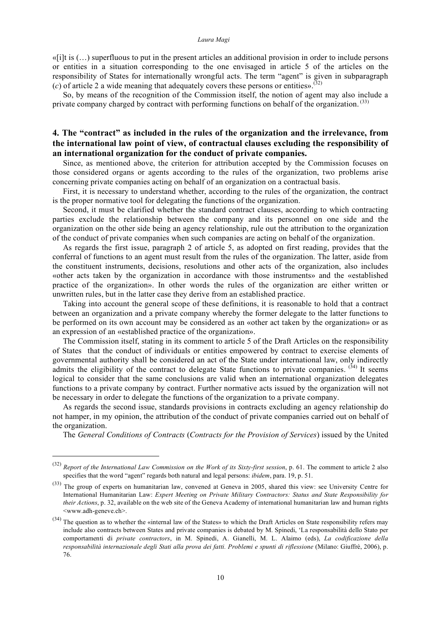«[i]t is (…) superfluous to put in the present articles an additional provision in order to include persons or entities in a situation corresponding to the one envisaged in article 5 of the articles on the responsibility of States for internationally wrongful acts. The term "agent" is given in subparagraph  $(c)$  of article 2 a wide meaning that adequately covers these persons or entities».<sup>(32)</sup>

So, by means of the recognition of the Commission itself, the notion of agent may also include a private company charged by contract with performing functions on behalf of the organization.<sup>(33)</sup>

## **4. The "contract" as included in the rules of the organization and the irrelevance, from the international law point of view, of contractual clauses excluding the responsibility of an international organization for the conduct of private companies.**

Since, as mentioned above, the criterion for attribution accepted by the Commission focuses on those considered organs or agents according to the rules of the organization, two problems arise concerning private companies acting on behalf of an organization on a contractual basis.

First, it is necessary to understand whether, according to the rules of the organization, the contract is the proper normative tool for delegating the functions of the organization.

Second, it must be clarified whether the standard contract clauses, according to which contracting parties exclude the relationship between the company and its personnel on one side and the organization on the other side being an agency relationship, rule out the attribution to the organization of the conduct of private companies when such companies are acting on behalf of the organization.

As regards the first issue, paragraph 2 of article 5, as adopted on first reading, provides that the conferral of functions to an agent must result from the rules of the organization. The latter, aside from the constituent instruments, decisions, resolutions and other acts of the organization, also includes «other acts taken by the organization in accordance with those instruments» and the «established practice of the organization». In other words the rules of the organization are either written or unwritten rules, but in the latter case they derive from an established practice.

Taking into account the general scope of these definitions, it is reasonable to hold that a contract between an organization and a private company whereby the former delegate to the latter functions to be performed on its own account may be considered as an «other act taken by the organization» or as an expression of an «established practice of the organization».

The Commission itself, stating in its comment to article 5 of the Draft Articles on the responsibility of States that the conduct of individuals or entities empowered by contract to exercise elements of governmental authority shall be considered an act of the State under international law, only indirectly admits the eligibility of the contract to delegate State functions to private companies.  $(34)$  It seems logical to consider that the same conclusions are valid when an international organization delegates functions to a private company by contract. Further normative acts issued by the organization will not be necessary in order to delegate the functions of the organization to a private company.

As regards the second issue, standards provisions in contracts excluding an agency relationship do not hamper, in my opinion, the attribution of the conduct of private companies carried out on behalf of the organization.

The *General Conditions of Contracts* (*Contracts for the Provision of Services*) issued by the United

 <sup>(32)</sup> *Report of the International Law Commission on the Work of its Sixty-first session*, p. 61. The comment to article <sup>2</sup> also specifies that the word "agent" regards both natural and legal persons: *ibidem*, para. 19, p. 51.

<sup>(33)</sup> The group of experts on humanitarian law, convened at Geneva in 2005, shared this view: see University Centre for International Humanitarian Law: *Expert Meeting on Private Military Contractors: Status and State Responsibility for their Actions*, p. 32, available on the web site of the Geneva Academy of international humanitarian law and human rights <www.adh-geneve.ch>.

 $(34)$  The question as to whether the «internal law of the States» to which the Draft Articles on State responsibility refers may include also contracts between States and private companies is debated by M. Spinedi, 'La responsabilità dello Stato per comportamenti di *private contractors*, in M. Spinedi, A. Gianelli, M. L. Alaimo (eds), *La codificazione della responsabilità internazionale degli Stati alla prova dei fatti. Problemi e spunti di riflessione* (Milano: Giuffrè, 2006), p. 76.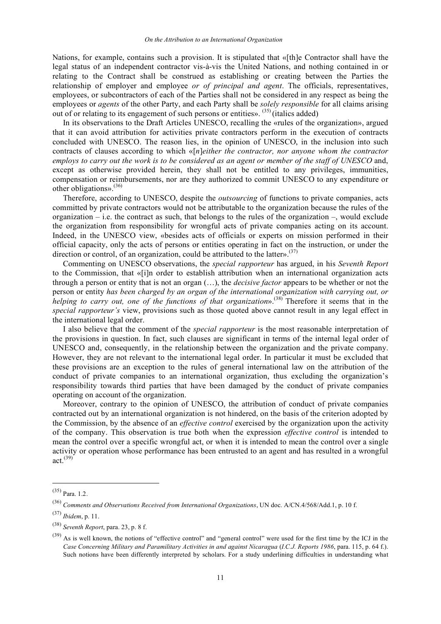Nations, for example, contains such a provision. It is stipulated that «[th]e Contractor shall have the legal status of an independent contractor vis-à-vis the United Nations, and nothing contained in or relating to the Contract shall be construed as establishing or creating between the Parties the relationship of employer and employee *or of principal and agent*. The officials, representatives, employees, or subcontractors of each of the Parties shall not be considered in any respect as being the employees or *agents* of the other Party, and each Party shall be *solely responsible* for all claims arising out of or relating to its engagement of such persons or entities».  $^{(35)}$  (italics added)

In its observations to the Draft Articles UNESCO, recalling the «rules of the organization», argued that it can avoid attribution for activities private contractors perform in the execution of contracts concluded with UNESCO. The reason lies, in the opinion of UNESCO, in the inclusion into such contracts of clauses according to which «[*n*]*either the contractor, nor anyone whom the contractor* employs to carry out the work is to be considered as an agent or member of the staff of UNESCO and, except as otherwise provided herein, they shall not be entitled to any privileges, immunities, compensation or reimbursements, nor are they authorized to commit UNESCO to any expenditure or other obligations». (36)

Therefore, according to UNESCO, despite the *outsourcing* of functions to private companies, acts committed by private contractors would not be attributable to the organization because the rules of the organization – i.e. the contract as such, that belongs to the rules of the organization –, would exclude the organization from responsibility for wrongful acts of private companies acting on its account. Indeed, in the UNESCO view, «besides acts of officials or experts on mission performed in their official capacity, only the acts of persons or entities operating in fact on the instruction, or under the direction or control, of an organization, could be attributed to the latter».<sup>(37)</sup>

Commenting on UNESCO observations, the *special rapporteur* has argued, in his *Seventh Report* to the Commission, that «[i]n order to establish attribution when an international organization acts through a person or entity that is not an organ (…), the *decisive factor* appears to be whether or not the person or entity *has been charged by an organ of the international organization with carrying out, or helping to carry out, one of the functions of that organization*». (38) Therefore it seems that in the *special rapporteur's* view, provisions such as those quoted above cannot result in any legal effect in the international legal order.

I also believe that the comment of the *special rapporteur* is the most reasonable interpretation of the provisions in question. In fact, such clauses are significant in terms of the internal legal order of UNESCO and, consequently, in the relationship between the organization and the private company. However, they are not relevant to the international legal order. In particular it must be excluded that these provisions are an exception to the rules of general international law on the attribution of the conduct of private companies to an international organization, thus excluding the organization's responsibility towards third parties that have been damaged by the conduct of private companies operating on account of the organization.

Moreover, contrary to the opinion of UNESCO, the attribution of conduct of private companies contracted out by an international organization is not hindered, on the basis of the criterion adopted by the Commission, by the absence of an *effective control* exercised by the organization upon the activity of the company. This observation is true both when the expression *effective control* is intended to mean the control over a specific wrongful act, or when it is intended to mean the control over a single activity or operation whose performance has been entrusted to an agent and has resulted in a wrongful act. (39)

 $(35)$  Para. 1.2.

<sup>(36)</sup> *Comments and Observations Received from International Organizations*, UN doc. A/CN.4/568/Add.1, p. 10 f.

<sup>(37)</sup> *Ibidem*, p. 11.

<sup>(38)</sup> *Seventh Report*, para. 23, p. 8 f.

 $(39)$  As is well known, the notions of "effective control" and "general control" were used for the first time by the ICJ in the *Case Concerning Military and Paramilitary Activities in and against Nicaragua* (*I.C.J. Reports 1986*, para. 115, p. 64 f.). Such notions have been differently interpreted by scholars. For a study underlining difficulties in understanding what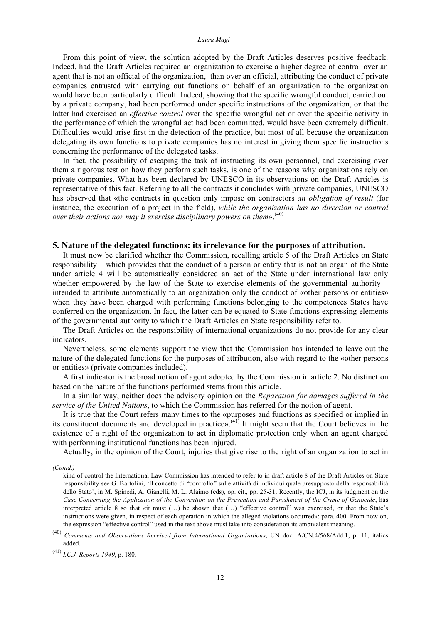From this point of view, the solution adopted by the Draft Articles deserves positive feedback. Indeed, had the Draft Articles required an organization to exercise a higher degree of control over an agent that is not an official of the organization, than over an official, attributing the conduct of private companies entrusted with carrying out functions on behalf of an organization to the organization would have been particularly difficult. Indeed, showing that the specific wrongful conduct, carried out by a private company, had been performed under specific instructions of the organization, or that the latter had exercised an *effective control* over the specific wrongful act or over the specific activity in the performance of which the wrongful act had been committed, would have been extremely difficult. Difficulties would arise first in the detection of the practice, but most of all because the organization delegating its own functions to private companies has no interest in giving them specific instructions concerning the performance of the delegated tasks.

In fact, the possibility of escaping the task of instructing its own personnel, and exercising over them a rigorous test on how they perform such tasks, is one of the reasons why organizations rely on private companies. What has been declared by UNESCO in its observations on the Draft Articles is representative of this fact. Referring to all the contracts it concludes with private companies, UNESCO has observed that «the contracts in question only impose on contractors *an obligation of result* (for instance, the execution of a project in the field), *while the organization has no direction or control over their actions nor may it exercise disciplinary powers on them*». (40)

## **5. Nature of the delegated functions: its irrelevance for the purposes of attribution.**

It must now be clarified whether the Commission, recalling article 5 of the Draft Articles on State responsibility – which provides that the conduct of a person or entity that is not an organ of the State under article 4 will be automatically considered an act of the State under international law only whether empowered by the law of the State to exercise elements of the governmental authority  $$ intended to attribute automatically to an organization only the conduct of «other persons or entities» when they have been charged with performing functions belonging to the competences States have conferred on the organization. In fact, the latter can be equated to State functions expressing elements of the governmental authority to which the Draft Articles on State responsibility refer to.

The Draft Articles on the responsibility of international organizations do not provide for any clear indicators.

Nevertheless, some elements support the view that the Commission has intended to leave out the nature of the delegated functions for the purposes of attribution, also with regard to the «other persons or entities» (private companies included).

A first indicator is the broad notion of agent adopted by the Commission in article 2. No distinction based on the nature of the functions performed stems from this article.

In a similar way, neither does the advisory opinion on the *Reparation for damages suffered in the service of the United Nations*, to which the Commission has referred for the notion of agent.

It is true that the Court refers many times to the «purposes and functions as specified or implied in its constituent documents and developed in practice».<sup>(41)</sup> It might seem that the Court believes in the existence of a right of the organization to act in diplomatic protection only when an agent charged with performing institutional functions has been injured.

Actually, in the opinion of the Court, injuries that give rise to the right of an organization to act in

*<sup>(</sup>Contd.)* 

kind of control the International Law Commission has intended to refer to in draft article 8 of the Draft Articles on State responsibility see G. Bartolini, 'Il concetto di "controllo" sulle attività di individui quale presupposto della responsabilità dello Stato', in M. Spinedi, A. Gianelli, M. L. Alaimo (eds), op. cit., pp. 25-31. Recently, the ICJ, in its judgment on the Case Concerning the Application of the Convention on the Prevention and Punishment of the Crime of Genocide, has interpreted article 8 so that «it must (…) be shown that (…) "effective control" was exercised, or that the State's instructions were given, in respect of each operation in which the alleged violations occurred»: para. 400. From now on, the expression "effective control" used in the text above must take into consideration its ambivalent meaning.

<sup>(40)</sup> *Comments and Observations Received from International Organizations*, UN doc. A/CN.4/568/Add.1, p. 11, italics added.

<sup>(41)</sup> *I.C.J. Reports 1949*, p. 180.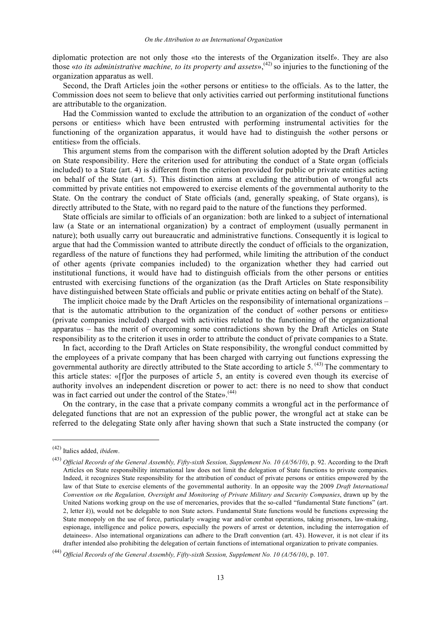diplomatic protection are not only those «to the interests of the Organization itself». They are also those «*to its administrative machine, to its property and assets*», (42) so injuries to the functioning of the organization apparatus as well.

Second, the Draft Articles join the «other persons or entities» to the officials. As to the latter, the Commission does not seem to believe that only activities carried out performing institutional functions are attributable to the organization.

Had the Commission wanted to exclude the attribution to an organization of the conduct of «other persons or entities» which have been entrusted with performing instrumental activities for the functioning of the organization apparatus, it would have had to distinguish the «other persons or entities» from the officials.

This argument stems from the comparison with the different solution adopted by the Draft Articles on State responsibility. Here the criterion used for attributing the conduct of a State organ (officials included) to a State (art. 4) is different from the criterion provided for public or private entities acting on behalf of the State (art. 5). This distinction aims at excluding the attribution of wrongful acts committed by private entities not empowered to exercise elements of the governmental authority to the State. On the contrary the conduct of State officials (and, generally speaking, of State organs), is directly attributed to the State, with no regard paid to the nature of the functions they performed.

State officials are similar to officials of an organization: both are linked to a subject of international law (a State or an international organization) by a contract of employment (usually permanent in nature); both usually carry out bureaucratic and administrative functions. Consequently it is logical to argue that had the Commission wanted to attribute directly the conduct of officials to the organization, regardless of the nature of functions they had performed, while limiting the attribution of the conduct of other agents (private companies included) to the organization whether they had carried out institutional functions, it would have had to distinguish officials from the other persons or entities entrusted with exercising functions of the organization (as the Draft Articles on State responsibility have distinguished between State officials and public or private entities acting on behalf of the State).

The implicit choice made by the Draft Articles on the responsibility of international organizations – that is the automatic attribution to the organization of the conduct of «other persons or entities» (private companies included) charged with activities related to the functioning of the organizational apparatus – has the merit of overcoming some contradictions shown by the Draft Articles on State responsibility as to the criterion it uses in order to attribute the conduct of private companies to a State.

In fact, according to the Draft Articles on State responsibility, the wrongful conduct committed by the employees of a private company that has been charged with carrying out functions expressing the governmental authority are directly attributed to the State according to article 5.<sup>(43)</sup> The commentary to this article states: «[f]or the purposes of article 5, an entity is covered even though its exercise of authority involves an independent discretion or power to act: there is no need to show that conduct was in fact carried out under the control of the State». (44)

On the contrary, in the case that a private company commits a wrongful act in the performance of delegated functions that are not an expression of the public power, the wrongful act at stake can be referred to the delegating State only after having shown that such a State instructed the company (or

 <sup>(42)</sup> Italics added, *ibidem*.

<sup>(43)</sup> *Official Records of the General Assembly, Fifty-sixth Session, Supplement No. 10 (A/56/10)*, p. 92. According to the Draft Articles on State responsibility international law does not limit the delegation of State functions to private companies. Indeed, it recognizes State responsibility for the attribution of conduct of private persons or entities empowered by the law of that State to exercise elements of the governmental authority. In an opposite way the 2009 *Draft International Convention on the Regulation, Oversight and Monitoring of Private Military and Security Companies*, drawn up by the United Nations working group on the use of mercenaries, provides that the so-called "fundamental State functions" (art. 2, letter *k*)), would not be delegable to non State actors. Fundamental State functions would be functions expressing the State monopoly on the use of force, particularly «waging war and/or combat operations, taking prisoners, law-making, espionage, intelligence and police powers, especially the powers of arrest or detention, including the interrogation of detainees». Also international organizations can adhere to the Draft convention (art. 43). However, it is not clear if its drafter intended also prohibiting the delegation of certain functions of international organization to private companies.

<sup>(44)</sup> *Official Records of the General Assembly, Fifty-sixth Session, Supplement No. 10 (A/56/10)*, p. 107.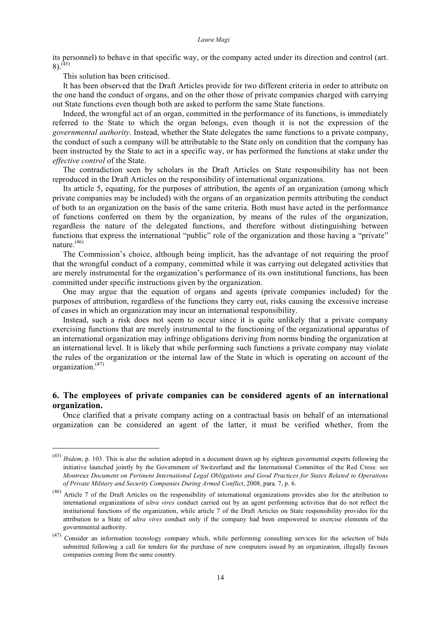its personnel) to behave in that specific way, or the company acted under its direction and control (art.  $8)$ .<sup>(45)</sup>

This solution has been criticised.

It has been observed that the Draft Articles provide for two different criteria in order to attribute on the one hand the conduct of organs, and on the other those of private companies charged with carrying out State functions even though both are asked to perform the same State functions.

Indeed, the wrongful act of an organ, committed in the performance of its functions, is immediately referred to the State to which the organ belongs, even though it is not the expression of the *governmental authority*. Instead, whether the State delegates the same functions to a private company, the conduct of such a company will be attributable to the State only on condition that the company has been instructed by the State to act in a specific way, or has performed the functions at stake under the *effective control* of the State.

The contradiction seen by scholars in the Draft Articles on State responsibility has not been reproduced in the Draft Articles on the responsibility of international organizations.

Its article 5, equating, for the purposes of attribution, the agents of an organization (among which private companies may be included) with the organs of an organization permits attributing the conduct of both to an organization on the basis of the same criteria. Both must have acted in the performance of functions conferred on them by the organization, by means of the rules of the organization, regardless the nature of the delegated functions, and therefore without distinguishing between functions that express the international "public" role of the organization and those having a "private" nature. $(46)$ 

The Commission's choice, although being implicit, has the advantage of not requiring the proof that the wrongful conduct of a company, committed while it was carrying out delegated activities that are merely instrumental for the organization's performance of its own institutional functions, has been committed under specific instructions given by the organization.

One may argue that the equation of organs and agents (private companies included) for the purposes of attribution, regardless of the functions they carry out, risks causing the excessive increase of cases in which an organization may incur an international responsibility.

Instead, such a risk does not seem to occur since it is quite unlikely that a private company exercising functions that are merely instrumental to the functioning of the organizational apparatus of an international organization may infringe obligations deriving from norms binding the organization at an international level. It is likely that while performing such functions a private company may violate the rules of the organization or the internal law of the State in which is operating on account of the organization. (47)

## **6. The employees of private companies can be considered agents of an international organization.**

Once clarified that a private company acting on a contractual basis on behalf of an international organization can be considered an agent of the latter, it must be verified whether, from the

 <sup>(45)</sup> *Ibidem*, p. 103. This is also the solution adopted in <sup>a</sup> document drawn up by eighteen govermental experts following the initiative launched jointly by the Government of Switzerland and the International Committee of the Red Cross: see *Montreux Document on Pertinent International Legal Obligations and Good Practices for States Related to Operations of Private Military and Security Companies During Armed Conflict*, 2008, para. 7, p. 6.

<sup>(46)</sup> Article 7 of the Draft Articles on the responsibility of international organizations provides also for the attribution to international organizations of *ultra vires* conduct carried out by an agent performing activities that do not reflect the institutional functions of the organization, while article 7 of the Draft Articles on State responsibility provides for the attribution to a State of *ultra vires* conduct only if the company had been empowered to exercise elements of the governmental authority.

<sup>(47)</sup> Consider an information tecnology company which, while performing consulting services for the selection of bids submitted following a call for tenders for the purchase of new computers issued by an organization, illegally favours companies coming from the same country.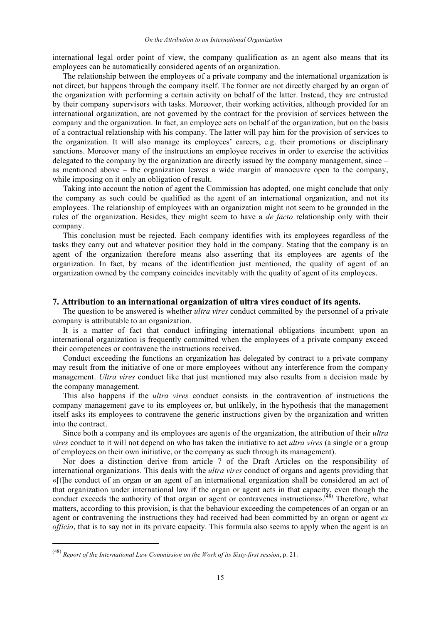international legal order point of view, the company qualification as an agent also means that its employees can be automatically considered agents of an organization.

The relationship between the employees of a private company and the international organization is not direct, but happens through the company itself. The former are not directly charged by an organ of the organization with performing a certain activity on behalf of the latter. Instead, they are entrusted by their company supervisors with tasks. Moreover, their working activities, although provided for an international organization, are not governed by the contract for the provision of services between the company and the organization. In fact, an employee acts on behalf of the organization, but on the basis of a contractual relationship with his company. The latter will pay him for the provision of services to the organization. It will also manage its employees' careers, e.g. their promotions or disciplinary sanctions. Moreover many of the instructions an employee receives in order to exercise the activities delegated to the company by the organization are directly issued by the company management, since – as mentioned above – the organization leaves a wide margin of manoeuvre open to the company, while imposing on it only an obligation of result.

Taking into account the notion of agent the Commission has adopted, one might conclude that only the company as such could be qualified as the agent of an international organization, and not its employees. The relationship of employees with an organization might not seem to be grounded in the rules of the organization. Besides, they might seem to have a *de facto* relationship only with their company.

This conclusion must be rejected. Each company identifies with its employees regardless of the tasks they carry out and whatever position they hold in the company. Stating that the company is an agent of the organization therefore means also asserting that its employees are agents of the organization. In fact, by means of the identification just mentioned, the quality of agent of an organization owned by the company coincides inevitably with the quality of agent of its employees.

## **7. Attribution to an international organization of ultra vires conduct of its agents.**

The question to be answered is whether *ultra vires* conduct committed by the personnel of a private company is attributable to an organization.

It is a matter of fact that conduct infringing international obligations incumbent upon an international organization is frequently committed when the employees of a private company exceed their competences or contravene the instructions received.

Conduct exceeding the functions an organization has delegated by contract to a private company may result from the initiative of one or more employees without any interference from the company management. *Ultra vires* conduct like that just mentioned may also results from a decision made by the company management.

This also happens if the *ultra vires* conduct consists in the contravention of instructions the company management gave to its employees or, but unlikely, in the hypothesis that the management itself asks its employees to contravene the generic instructions given by the organization and written into the contract.

Since both a company and its employees are agents of the organization, the attribution of their *ultra vires* conduct to it will not depend on who has taken the initiative to act *ultra vires* (a single or a group of employees on their own initiative, or the company as such through its management).

Nor does a distinction derive from article 7 of the Draft Articles on the responsibility of international organizations. This deals with the *ultra vires* conduct of organs and agents providing that «[t]he conduct of an organ or an agent of an international organization shall be considered an act of that organization under international law if the organ or agent acts in that capacity, even though the conduct exceeds the authority of that organ or agent or contravenes instructions».<sup>(48)</sup> Therefore, what matters, according to this provision, is that the behaviour exceeding the competences of an organ or an agent or contravening the instructions they had received had been committed by an organ or agent *ex officio*, that is to say not in its private capacity. This formula also seems to apply when the agent is an

 <sup>(48)</sup> *Report of the International Law Commission on the Work of its Sixty-first session*, p. 21.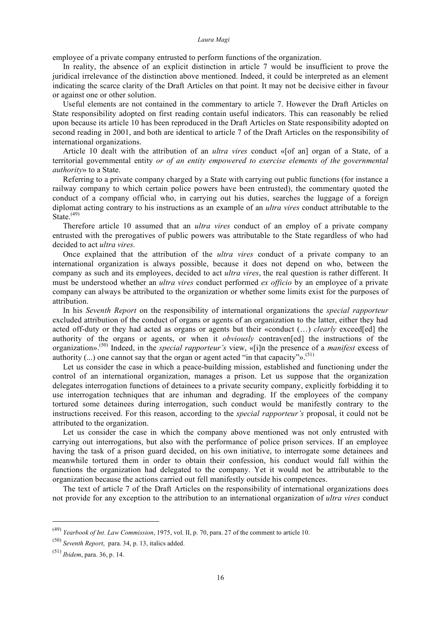employee of a private company entrusted to perform functions of the organization.

In reality, the absence of an explicit distinction in article 7 would be insufficient to prove the juridical irrelevance of the distinction above mentioned. Indeed, it could be interpreted as an element indicating the scarce clarity of the Draft Articles on that point. It may not be decisive either in favour or against one or other solution.

Useful elements are not contained in the commentary to article 7. However the Draft Articles on State responsibility adopted on first reading contain useful indicators. This can reasonably be relied upon because its article 10 has been reproduced in the Draft Articles on State responsibility adopted on second reading in 2001, and both are identical to article 7 of the Draft Articles on the responsibility of international organizations.

Article 10 dealt with the attribution of an *ultra vires* conduct «[of an] organ of a State, of a territorial governmental entity *or of an entity empowered to exercise elements of the governmental authority*» to a State.

Referring to a private company charged by a State with carrying out public functions (for instance a railway company to which certain police powers have been entrusted), the commentary quoted the conduct of a company official who, in carrying out his duties, searches the luggage of a foreign diplomat acting contrary to his instructions as an example of an *ultra vires* conduct attributable to the State. $(49)$ 

Therefore article 10 assumed that an *ultra vires* conduct of an employ of a private company entrusted with the prerogatives of public powers was attributable to the State regardless of who had decided to act *ultra vires.*

Once explained that the attribution of the *ultra vires* conduct of a private company to an international organization is always possible, because it does not depend on who, between the company as such and its employees, decided to act *ultra vires*, the real question is rather different. It must be understood whether an *ultra vires* conduct performed *ex officio* by an employee of a private company can always be attributed to the organization or whether some limits exist for the purposes of attribution.

In his *Seventh Report* on the responsibility of international organizations the *special rapporteur* excluded attribution of the conduct of organs or agents of an organization to the latter, either they had acted off-duty or they had acted as organs or agents but their «conduct (…) *clearly* exceed[ed] the authority of the organs or agents, or when it *obviously* contraven[ed] the instructions of the organization». (50) Indeed, in the *special rapporteur's* view, «[i]n the presence of a *manifest* excess of authority  $(...)$  one cannot say that the organ or agent acted "in that capacity"».<sup>(51)</sup>

Let us consider the case in which a peace-building mission, established and functioning under the control of an international organization, manages a prison. Let us suppose that the organization delegates interrogation functions of detainees to a private security company, explicitly forbidding it to use interrogation techniques that are inhuman and degrading. If the employees of the company tortured some detainees during interrogation, such conduct would be manifestly contrary to the instructions received. For this reason, according to the *special rapporteur's* proposal, it could not be attributed to the organization.

Let us consider the case in which the company above mentioned was not only entrusted with carrying out interrogations, but also with the performance of police prison services. If an employee having the task of a prison guard decided, on his own initiative, to interrogate some detainees and meanwhile tortured them in order to obtain their confession, his conduct would fall within the functions the organization had delegated to the company. Yet it would not be attributable to the organization because the actions carried out fell manifestly outside his competences.

The text of article 7 of the Draft Articles on the responsibility of international organizations does not provide for any exception to the attribution to an international organization of *ultra vires* conduct

 <sup>(49)</sup> *Yearbook of Int. Law Commission*, 1975, vol. II, p. 70, para. 27 of the comment to article 10.

<sup>(50)</sup> *Seventh Report*, para. 34, p. 13, italics added.

<sup>(51)</sup> *Ibidem*, para. 36, p. 14.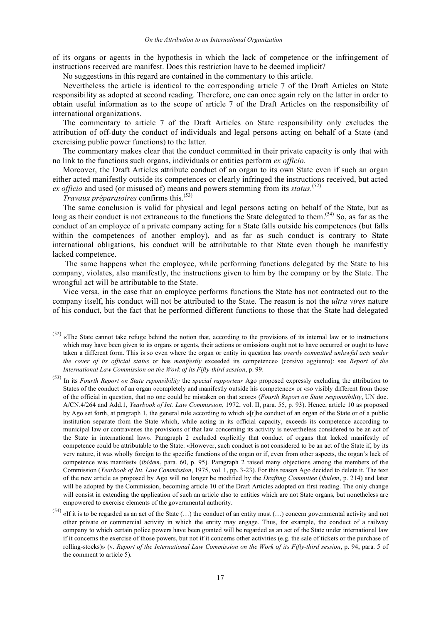of its organs or agents in the hypothesis in which the lack of competence or the infringement of instructions received are manifest. Does this restriction have to be deemed implicit?

No suggestions in this regard are contained in the commentary to this article.

Nevertheless the article is identical to the corresponding article 7 of the Draft Articles on State responsibility as adopted at second reading. Therefore, one can once again rely on the latter in order to obtain useful information as to the scope of article 7 of the Draft Articles on the responsibility of international organizations.

The commentary to article 7 of the Draft Articles on State responsibility only excludes the attribution of off-duty the conduct of individuals and legal persons acting on behalf of a State (and exercising public power functions) to the latter.

The commentary makes clear that the conduct committed in their private capacity is only that with no link to the functions such organs, individuals or entities perform *ex officio*.

Moreover, the Draft Articles attribute conduct of an organ to its own State even if such an organ either acted manifestly outside its competences or clearly infringed the instructions received, but acted *ex officio* and used (or misused of) means and powers stemming from its *status.* (52)

*Travaux préparatoires* confirms this. (53)

The same conclusion is valid for physical and legal persons acting on behalf of the State, but as long as their conduct is not extraneous to the functions the State delegated to them.<sup>(54)</sup> So, as far as the conduct of an employee of a private company acting for a State falls outside his competences (but falls within the competences of another employ), and as far as such conduct is contrary to State international obligations, his conduct will be attributable to that State even though he manifestly lacked competence.

The same happens when the employee, while performing functions delegated by the State to his company, violates, also manifestly, the instructions given to him by the company or by the State. The wrongful act will be attributable to the State.

Vice versa, in the case that an employee performs functions the State has not contracted out to the company itself, his conduct will not be attributed to the State. The reason is not the *ultra vires* nature of his conduct, but the fact that he performed different functions to those that the State had delegated

 $(52)$  «The State cannot take refuge behind the notion that, according to the provisions of its internal law or to instructions which may have been given to its organs or agents, their actions or omissions ought not to have occurred or ought to have taken a different form. This is so even where the organ or entity in question has *overtly committed unlawful acts under the cover of its official status* or has *manifestly* exceeded its competence» (corsivo aggiunto): see *Report of the International Law Commission on the Work of its Fifty-third session*, p. 99.

<sup>(53)</sup> In its *Fourth Report on State reponsibility* the *special rapporteur* Ago proposed expressly excluding the attribution to States of the conduct of an organ «completely and manifestly outside his competence» or «so visibly different from those of the official in question, that no one could be mistaken on that score» (*Fourth Report on State responsibility*, UN doc. A/CN.4/264 and Add.1, *Yearbook of Int. Law Commission*, 1972, vol. II, para. 55, p. 93). Hence, article 10 as proposed by Ago set forth, at pragraph 1, the general rule according to which «[t]he conduct of an organ of the State or of a public institution separate from the State which, while acting in its official capacity, exceeds its competence according to municipal law or contravenes the provisions of that law concerning its activity is nevertheless considered to be an act of the State in international law». Paragraph 2 excluded explicitly that conduct of organs that lacked manifestly of competence could be attributable to the State: «However, such conduct is not considered to be an act of the State if, by its very nature, it was wholly foreign to the specific functions of the organ or if, even from other aspects, the organ's lack of competence was manifest» (*ibidem*, para. 60, p. 95). Paragraph 2 raised many objections among the members of the Commission (*Yearbook of Int. Law Commission*, 1975, vol. 1, pp. 3-23). For this reason Ago decided to delete it. The text of the new article as proposed by Ago will no longer be modified by the *Drafting Committee* (*ibidem*, p. 214) and later will be adopted by the Commission, becoming article 10 of the Draft Articles adopted on first reading. The only change will consist in extending the application of such an article also to entities which are not State organs, but nonetheless are empowered to exercise elements of the governmental authority.

<sup>&</sup>lt;sup>(54)</sup> «If it is to be regarded as an act of the State  $(...)$  the conduct of an entity must  $(...)$  concern governmental activity and not other private or commercial activity in which the entity may engage. Thus, for example, the conduct of a railway company to which certain police powers have been granted will be regarded as an act of the State under international law if it concerns the exercise of those powers, but not if it concerns other activities (e.g. the sale of tickets or the purchase of rolling-stocks)» (v. *Report of the International Law Commission on the Work of its Fifty-third session*, p. 94, para. 5 of the comment to article 5).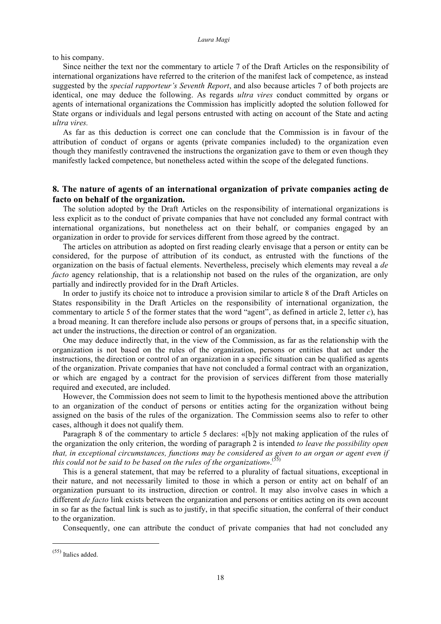to his company.

Since neither the text nor the commentary to article 7 of the Draft Articles on the responsibility of international organizations have referred to the criterion of the manifest lack of competence, as instead suggested by the *special rapporteur's Seventh Report*, and also because articles 7 of both projects are identical, one may deduce the following. As regards *ultra vires* conduct committed by organs or agents of international organizations the Commission has implicitly adopted the solution followed for State organs or individuals and legal persons entrusted with acting on account of the State and acting *ultra vires.*

As far as this deduction is correct one can conclude that the Commission is in favour of the attribution of conduct of organs or agents (private companies included) to the organization even though they manifestly contravened the instructions the organization gave to them or even though they manifestly lacked competence, but nonetheless acted within the scope of the delegated functions.

# **8. The nature of agents of an international organization of private companies acting de facto on behalf of the organization.**

The solution adopted by the Draft Articles on the responsibility of international organizations is less explicit as to the conduct of private companies that have not concluded any formal contract with international organizations, but nonetheless act on their behalf, or companies engaged by an organization in order to provide for services different from those agreed by the contract.

The articles on attribution as adopted on first reading clearly envisage that a person or entity can be considered, for the purpose of attribution of its conduct, as entrusted with the functions of the organization on the basis of factual elements. Nevertheless, precisely which elements may reveal a *de facto* agency relationship, that is a relationship not based on the rules of the organization, are only partially and indirectly provided for in the Draft Articles.

In order to justify its choice not to introduce a provision similar to article 8 of the Draft Articles on States responsibility in the Draft Articles on the responsibility of international organization, the commentary to article 5 of the former states that the word "agent", as defined in article 2, letter *c*), has a broad meaning. It can therefore include also persons or groups of persons that, in a specific situation, act under the instructions, the direction or control of an organization.

One may deduce indirectly that, in the view of the Commission, as far as the relationship with the organization is not based on the rules of the organization, persons or entities that act under the instructions, the direction or control of an organization in a specific situation can be qualified as agents of the organization. Private companies that have not concluded a formal contract with an organization, or which are engaged by a contract for the provision of services different from those materially required and executed, are included.

However, the Commission does not seem to limit to the hypothesis mentioned above the attribution to an organization of the conduct of persons or entities acting for the organization without being assigned on the basis of the rules of the organization. The Commission seems also to refer to other cases, although it does not qualify them.

Paragraph 8 of the commentary to article 5 declares: «[b]y not making application of the rules of the organization the only criterion, the wording of paragraph 2 is intended *to leave the possibility open that, in exceptional circumstances, functions may be considered as given to an organ or agent even if this could not be said to be based on the rules of the organization*». (55)

This is a general statement, that may be referred to a plurality of factual situations, exceptional in their nature, and not necessarily limited to those in which a person or entity act on behalf of an organization pursuant to its instruction, direction or control. It may also involve cases in which a different *de facto* link exists between the organization and persons or entities acting on its own account in so far as the factual link is such as to justify, in that specific situation, the conferral of their conduct to the organization.

Consequently, one can attribute the conduct of private companies that had not concluded any

 $(55)$  Italics added.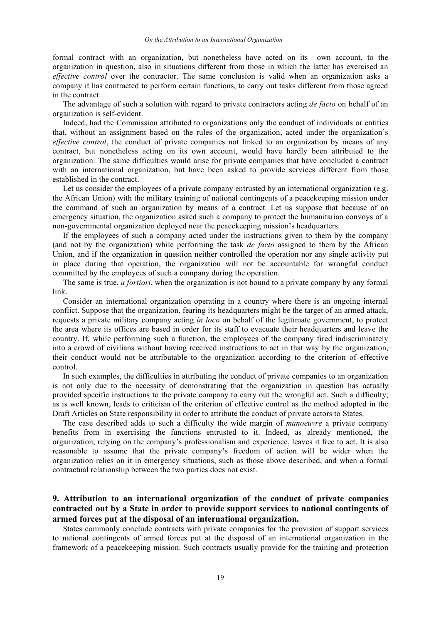formal contract with an organization, but nonetheless have acted on its own account, to the organization in question, also in situations different from those in which the latter has exercised an *effective control* over the contractor. The same conclusion is valid when an organization asks a company it has contracted to perform certain functions, to carry out tasks different from those agreed in the contract.

The advantage of such a solution with regard to private contractors acting *de facto* on behalf of an organization is self-evident.

Indeed, had the Commission attributed to organizations only the conduct of individuals or entities that, without an assignment based on the rules of the organization, acted under the organization's *effective control*, the conduct of private companies not linked to an organization by means of any contract, but nonetheless acting on its own account, would have hardly been attributed to the organization. The same difficulties would arise for private companies that have concluded a contract with an international organization, but have been asked to provide services different from those established in the contract.

Let us consider the employees of a private company entrusted by an international organization (e.g. the African Union) with the military training of national contingents of a peacekeeping mission under the command of such an organization by means of a contract. Let us suppose that because of an emergency situation, the organization asked such a company to protect the humanitarian convoys of a non-governmental organization deployed near the peacekeeping mission's headquarters.

If the employees of such a company acted under the instructions given to them by the company (and not by the organization) while performing the task *de facto* assigned to them by the African Union, and if the organization in question neither controlled the operation nor any single activity put in place during that operation, the organization will not be accountable for wrongful conduct committed by the employees of such a company during the operation.

The same is true, *a fortiori*, when the organization is not bound to a private company by any formal link.

Consider an international organization operating in a country where there is an ongoing internal conflict. Suppose that the organization, fearing its headquarters might be the target of an armed attack, requests a private military company acting *in loco* on behalf of the legitimate government, to protect the area where its offices are based in order for its staff to evacuate their headquarters and leave the country. If, while performing such a function, the employees of the company fired indiscriminately into a crowd of civilians without having received instructions to act in that way by the organization, their conduct would not be attributable to the organization according to the criterion of effective control.

In such examples, the difficulties in attributing the conduct of private companies to an organization is not only due to the necessity of demonstrating that the organization in question has actually provided specific instructions to the private company to carry out the wrongful act. Such a difficulty, as is well known, leads to criticism of the criterion of effective control as the method adopted in the Draft Articles on State responsibility in order to attribute the conduct of private actors to States.

The case described adds to such a difficulty the wide margin of *manoeuvre* a private company benefits from in exercising the functions entrusted to it. Indeed, as already mentioned, the organization, relying on the company's professionalism and experience, leaves it free to act. It is also reasonable to assume that the private company's freedom of action will be wider when the organization relies on it in emergency situations, such as those above described, and when a formal contractual relationship between the two parties does not exist.

# **9. Attribution to an international organization of the conduct of private companies contracted out by a State in order to provide support services to national contingents of armed forces put at the disposal of an international organization.**

States commonly conclude contracts with private companies for the provision of support services to national contingents of armed forces put at the disposal of an international organization in the framework of a peacekeeping mission. Such contracts usually provide for the training and protection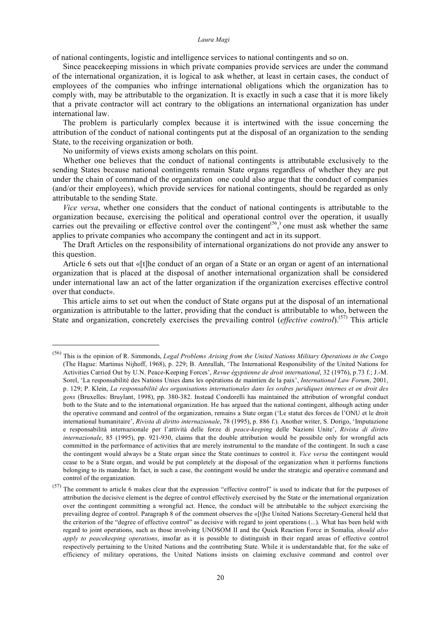of national contingents, logistic and intelligence services to national contingents and so on.

Since peacekeeping missions in which private companies provide services are under the command of the international organization, it is logical to ask whether, at least in certain cases, the conduct of employees of the companies who infringe international obligations which the organization has to comply with, may be attributable to the organization. It is exactly in such a case that it is more likely that a private contractor will act contrary to the obligations an international organization has under international law.

The problem is particularly complex because it is intertwined with the issue concerning the attribution of the conduct of national contingents put at the disposal of an organization to the sending State, to the receiving organization or both.

No uniformity of views exists among scholars on this point.

Whether one believes that the conduct of national contingents is attributable exclusively to the sending States because national contingents remain State organs regardless of whether they are put under the chain of command of the organization one could also argue that the conduct of companies (and/or their employees), which provide services for national contingents, should be regarded as only attributable to the sending State.

*Vice versa*, whether one considers that the conduct of national contingents is attributable to the organization because, exercising the political and operational control over the operation, it usually carries out the prevailing or effective control over the contingent<sup> $(56)$ </sup>, one must ask whether the same applies to private companies who accompany the contingent and act in its support.

The Draft Articles on the responsibility of international organizations do not provide any answer to this question.

Article 6 sets out that «[t]he conduct of an organ of a State or an organ or agent of an international organization that is placed at the disposal of another international organization shall be considered under international law an act of the latter organization if the organization exercises effective control over that conduct».

This article aims to set out when the conduct of State organs put at the disposal of an international organization is attributable to the latter, providing that the conduct is attributable to who, between the State and organization, concretely exercises the prevailing control (*effective control*).<sup>(57)</sup> This article

 <sup>(56)</sup> This is the opinion of R. Simmonds, *Legal Problems Arising from the United Nations Military Operations in the Congo* (The Hague: Martinus Nijhoff, 1968), p. 229; B. Amrallah, 'The International Responsibility of the United Nations for Activities Carried Out by U.N. Peace-Keeping Forces', *Revue égyptienne de droit international*, 32 (1976), p.73 f.; J.-M. Sorel, 'La responsabilité des Nations Unies dans les opérations de maintien de la paix', *International Law Forum*, 2001, p. 129; P. Klein, *La responsabilité des organisations internationales dans les ordres juridiques internes et en droit des gens* (Bruxelles: Bruylant, 1998), pp. 380-382. Instead Condorelli has maintained the attribution of wrongful conduct both to the State and to the international organization. He has argued that the national contingent, although acting under the operative command and control of the organization, remains a State organ ('Le statut des forces de l'ONU et le droit international humanitaire', *Rivista di diritto internazionale*, 78 (1995), p. 886 f.). Another writer, S. Dorigo, 'Imputazione e responsabilità internazionale per l'attività delle forze di *peace-keeping* delle Nazioni Unite', *Rivista di diritto internazionale*, 85 (1995), pp. 921-930, claims that the double attribution would be possibile only for wrongful acts committed in the performance of activities that are merely instrumental to the mandate of the contingent. In such a case the contingent would always be a State organ since the State continues to control it. *Vice versa* the contingent would cease to be a State organ, and would be put completely at the disposal of the organization when it performs functions belonging to its mandate. In fact, in such a case, the contingent would be under the strategic and operative command and control of the organization.

 $(57)$  The comment to article 6 makes clear that the expression "effective control" is used to indicate that for the purposes of attribution the decisive element is the degree of control effectively exercised by the State or the international organization over the contingent committing a wrongful act. Hence, the conduct will be attributable to the subject exercising the prevailing degree of control. Paragraph 8 of the comment observes the «[t]he United Nations Secretary-General held that the criterion of the "degree of effective control" as decisive with regard to joint operations (...). What has been held with regard to joint operations, such as those involving UNOSOM II and the Quick Reaction Force in Somalia, *should also apply to peacekeeping operations*, insofar as it is possible to distinguish in their regard areas of effective control respectively pertaining to the United Nations and the contributing State. While it is understandable that, for the sake of efficiency of military operations, the United Nations insists on claiming exclusive command and control over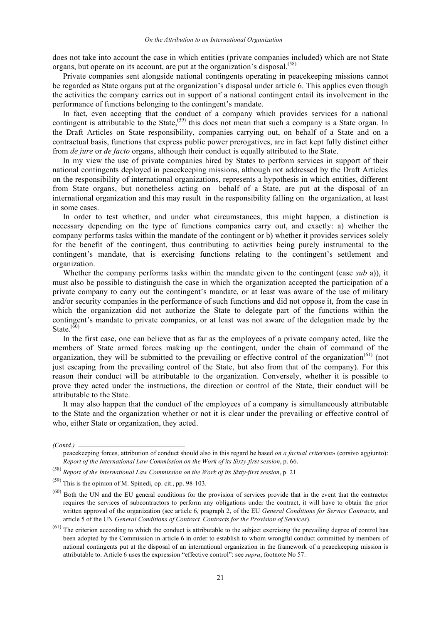does not take into account the case in which entities (private companies included) which are not State organs, but operate on its account, are put at the organization's disposal.<sup>(58)</sup>

Private companies sent alongside national contingents operating in peacekeeping missions cannot be regarded as State organs put at the organization's disposal under article 6. This applies even though the activities the company carries out in support of a national contingent entail its involvement in the performance of functions belonging to the contingent's mandate.

In fact, even accepting that the conduct of a company which provides services for a national contingent is attributable to the State,<sup>(59)</sup> this does not mean that such a company is a State organ. In the Draft Articles on State responsibility, companies carrying out, on behalf of a State and on a contractual basis, functions that express public power prerogatives, are in fact kept fully distinct either from *de jure* or *de facto* organs, although their conduct is equally attributed to the State.

In my view the use of private companies hired by States to perform services in support of their national contingents deployed in peacekeeping missions, although not addressed by the Draft Articles on the responsibility of international organizations, represents a hypothesis in which entities, different from State organs, but nonetheless acting on behalf of a State, are put at the disposal of an international organization and this may result in the responsibility falling on the organization, at least in some cases.

In order to test whether, and under what circumstances, this might happen, a distinction is necessary depending on the type of functions companies carry out, and exactly: a) whether the company performs tasks within the mandate of the contingent or b) whether it provides services solely for the benefit of the contingent, thus contributing to activities being purely instrumental to the contingent's mandate, that is exercising functions relating to the contingent's settlement and organization.

Whether the company performs tasks within the mandate given to the contingent (case *sub* a)), it must also be possible to distinguish the case in which the organization accepted the participation of a private company to carry out the contingent's mandate, or at least was aware of the use of military and/or security companies in the performance of such functions and did not oppose it, from the case in which the organization did not authorize the State to delegate part of the functions within the contingent's mandate to private companies, or at least was not aware of the delegation made by the State. $(60)$ 

In the first case, one can believe that as far as the employees of a private company acted, like the members of State armed forces making up the contingent, under the chain of command of the organization, they will be submitted to the prevailing or effective control of the organization<sup> $(61)$ </sup> (not just escaping from the prevailing control of the State, but also from that of the company). For this reason their conduct will be attributable to the organization. Conversely, whether it is possible to prove they acted under the instructions, the direction or control of the State, their conduct will be attributable to the State.

It may also happen that the conduct of the employees of a company is simultaneously attributable to the State and the organization whether or not it is clear under the prevailing or effective control of who, either State or organization, they acted.

*(Contd.)* 

peacekeeping forces, attribution of conduct should also in this regard be based *on a factual criterion*» (corsivo aggiunto): *Report of the International Law Commission on the Work of its Sixty-first session*, p. 66.

<sup>(58)</sup> *Report of the International Law Commission on the Work of its Sixty-first session*, p. 21.

 $(59)$  This is the opinion of M. Spinedi, op. cit., pp. 98-103.

Both the UN and the EU general conditions for the provision of services provide that in the event that the contractor requires the services of subcontractors to perform any obligations under the contract, it will have to obtain the prior written approval of the organization (see article 6, pragraph 2, of the EU *General Conditions for Service Contracts*, and article 5 of the UN *General Conditions of Contract. Contracts for the Provision of Services*).

 $(61)$  The criterion according to which the conduct is attributable to the subject exercising the prevailing degree of control has been adopted by the Commission in article 6 in order to establish to whom wrongful conduct committed by members of national contingents put at the disposal of an international organization in the framework of a peacekeeping mission is attributable to. Article 6 uses the expression "effective control": see *supra*, footnote No 57.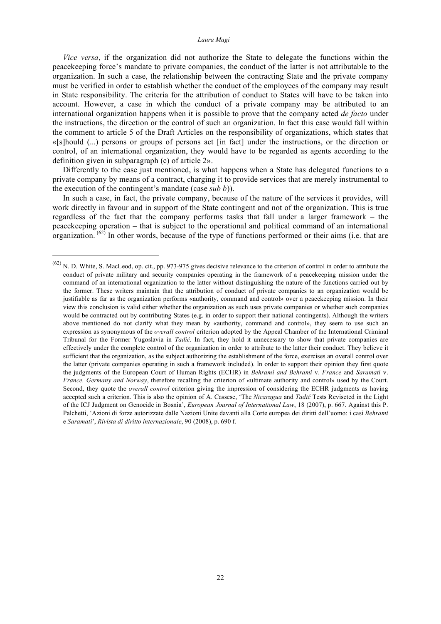*Vice versa*, if the organization did not authorize the State to delegate the functions within the peacekeeping force's mandate to private companies, the conduct of the latter is not attributable to the organization. In such a case, the relationship between the contracting State and the private company must be verified in order to establish whether the conduct of the employees of the company may result in State responsibility. The criteria for the attribution of conduct to States will have to be taken into account. However, a case in which the conduct of a private company may be attributed to an international organization happens when it is possible to prove that the company acted *de facto* under the instructions, the direction or the control of such an organization. In fact this case would fall within the comment to article 5 of the Draft Articles on the responsibility of organizations, which states that «[s]hould (...) persons or groups of persons act [in fact] under the instructions, or the direction or control, of an international organization, they would have to be regarded as agents according to the definition given in subparagraph (c) of article 2».

Differently to the case just mentioned, is what happens when a State has delegated functions to a private company by means of a contract, charging it to provide services that are merely instrumental to the execution of the contingent's mandate (case *sub b*)).

In such a case, in fact, the private company, because of the nature of the services it provides, will work directly in favour and in support of the State contingent and not of the organization. This is true regardless of the fact that the company performs tasks that fall under a larger framework – the peacekeeping operation – that is subject to the operational and political command of an international organization.  $^{(62)}$  In other words, because of the type of functions performed or their aims (i.e. that are

 $\frac{(62)}{N}$  N. D. White, S. MacLeod, op. cit., pp. 973-975 gives decisive relevance to the criterion of control in order to attribute the conduct of private military and security companies operating in the framework of a peacekeeping mission under the command of an international organization to the latter without distinguishing the nature of the functions carried out by the former. These writers maintain that the attribution of conduct of private companies to an organization would be justifiable as far as the organization performs «authority, command and control» over a peacekeeping mission. In their view this conclusion is valid either whether the organization as such uses private companies or whether such companies would be contracted out by contributing States (e.g. in order to support their national contingents). Although the writers above mentioned do not clarify what they mean by «authority, command and control», they seem to use such an expression as synonymous of the *overall control* criterion adopted by the Appeal Chamber of the International Criminal Tribunal for the Former Yugoslavia in *Tadić*. In fact, they hold it unnecessary to show that private companies are effectively under the complete control of the organization in order to attribute to the latter their conduct. They believe it sufficient that the organization, as the subject authorizing the establishment of the force, exercises an overall control over the latter (private companies operating in such a framework included). In order to support their opinion they first quote the judgments of the European Court of Human Rights (ECHR) in *Behrami and Behrami* v. *France* and *Saramati* v. *France, Germany and Norway*, therefore recalling the criterion of «ultimate authority and control» used by the Court. Second, they quote the *overall control* criterion giving the impression of considering the ECHR judgments as having accepted such a criterion. This is also the opinion of A. Cassese, 'The *Nicaragua* and *Tadić* Tests Reviseted in the Light of the ICJ Judgment on Genocide in Bosnia', *European Journal of International Law*, 18 (2007), p. 667. Against this P. Palchetti, 'Azioni di forze autorizzate dalle Nazioni Unite davanti alla Corte europea dei diritti dell'uomo: i casi *Behrami* e *Saramati*', *Rivista di diritto internazionale*, 90 (2008), p. 690 f.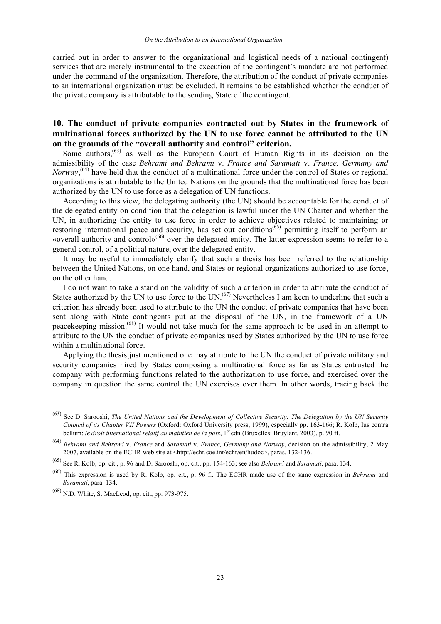carried out in order to answer to the organizational and logistical needs of a national contingent) services that are merely instrumental to the execution of the contingent's mandate are not performed under the command of the organization. Therefore, the attribution of the conduct of private companies to an international organization must be excluded. It remains to be established whether the conduct of the private company is attributable to the sending State of the contingent.

# **10. The conduct of private companies contracted out by States in the framework of multinational forces authorized by the UN to use force cannot be attributed to the UN on the grounds of the "overall authority and control" criterion.**

Some authors,  $(63)$  as well as the European Court of Human Rights in its decision on the admissibility of the case *Behrami and Behrami* v. *France and Saramati* v. *France, Germany and Norway*, (64) have held that the conduct of a multinational force under the control of States or regional organizations is attributable to the United Nations on the grounds that the multinational force has been authorized by the UN to use force as a delegation of UN functions.

According to this view, the delegating authority (the UN) should be accountable for the conduct of the delegated entity on condition that the delegation is lawful under the UN Charter and whether the UN, in authorizing the entity to use force in order to achieve objectives related to maintaining or restoring international peace and security, has set out conditions<sup>(65)</sup> permitting itself to perform an «overall authority and control»(66) over the delegated entity. The latter expression seems to refer to a general control, of a political nature, over the delegated entity.

It may be useful to immediately clarify that such a thesis has been referred to the relationship between the United Nations, on one hand, and States or regional organizations authorized to use force, on the other hand.

I do not want to take a stand on the validity of such a criterion in order to attribute the conduct of States authorized by the UN to use force to the UN.<sup> $(67)$ </sup> Nevertheless I am keen to underline that such a criterion has already been used to attribute to the UN the conduct of private companies that have been sent along with State contingents put at the disposal of the UN, in the framework of a UN peacekeeping mission.<sup>(68)</sup> It would not take much for the same approach to be used in an attempt to attribute to the UN the conduct of private companies used by States authorized by the UN to use force within a multinational force.

Applying the thesis just mentioned one may attribute to the UN the conduct of private military and security companies hired by States composing a multinational force as far as States entrusted the company with performing functions related to the authorization to use force, and exercised over the company in question the same control the UN exercises over them. In other words, tracing back the

 <sup>(63)</sup> See D. Sarooshi, *The United Nations and the Development of Collective Security: The Delegation by the UN Security Council of its Chapter VII Powers* (Oxford: Oxford University press, 1999), especially pp. 163-166; R. Kolb, Ius contra bellum: *le droit international relatif au maintien de la paix*, 1st edn (Bruxelles: Bruylant, 2003), p. 90 ff.

<sup>(64)</sup> *Behrami and Behrami* v. *France* and *Saramati* v. *France, Germany and Norway*, decision on the admissibility, 2 May 2007, available on the ECHR web site at <http://echr.coe.int/echr/en/hudoc>, paras. 132-136.

<sup>(65)</sup> See R. Kolb, op. cit., p. 96 and D. Sarooshi, op. cit., pp. 154-163; see also *Behrami* and *Saramati*, para. 134.

<sup>(66)</sup> This expression is used by R. Kolb, op. cit., p. 96 f.. The ECHR made use of the same expression in *Behrami* and *Saramati*, para. 134.

 $^{(68)}$  N.D. White, S. MacLeod, op. cit., pp. 973-975.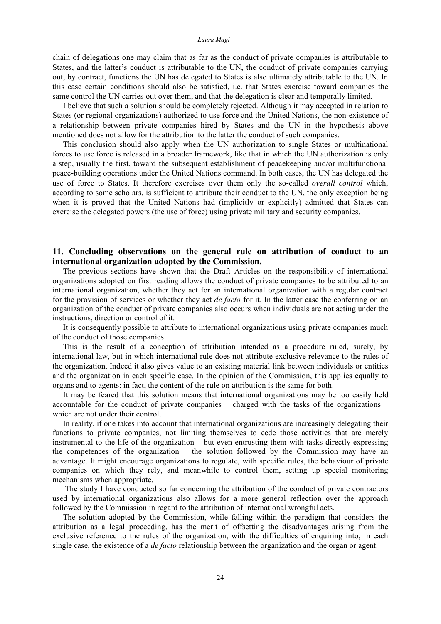chain of delegations one may claim that as far as the conduct of private companies is attributable to States, and the latter's conduct is attributable to the UN, the conduct of private companies carrying out, by contract, functions the UN has delegated to States is also ultimately attributable to the UN. In this case certain conditions should also be satisfied, i.e. that States exercise toward companies the same control the UN carries out over them, and that the delegation is clear and temporally limited.

I believe that such a solution should be completely rejected. Although it may accepted in relation to States (or regional organizations) authorized to use force and the United Nations, the non-existence of a relationship between private companies hired by States and the UN in the hypothesis above mentioned does not allow for the attribution to the latter the conduct of such companies.

This conclusion should also apply when the UN authorization to single States or multinational forces to use force is released in a broader framework, like that in which the UN authorization is only a step, usually the first, toward the subsequent establishment of peacekeeping and/or multifunctional peace-building operations under the United Nations command. In both cases, the UN has delegated the use of force to States. It therefore exercises over them only the so-called *overall control* which, according to some scholars, is sufficient to attribute their conduct to the UN, the only exception being when it is proved that the United Nations had (implicitly or explicitly) admitted that States can exercise the delegated powers (the use of force) using private military and security companies.

## **11. Concluding observations on the general rule on attribution of conduct to an international organization adopted by the Commission.**

The previous sections have shown that the Draft Articles on the responsibility of international organizations adopted on first reading allows the conduct of private companies to be attributed to an international organization, whether they act for an international organization with a regular contract for the provision of services or whether they act *de facto* for it. In the latter case the conferring on an organization of the conduct of private companies also occurs when individuals are not acting under the instructions, direction or control of it.

It is consequently possible to attribute to international organizations using private companies much of the conduct of those companies.

This is the result of a conception of attribution intended as a procedure ruled, surely, by international law, but in which international rule does not attribute exclusive relevance to the rules of the organization. Indeed it also gives value to an existing material link between individuals or entities and the organization in each specific case. In the opinion of the Commission, this applies equally to organs and to agents: in fact, the content of the rule on attribution is the same for both.

It may be feared that this solution means that international organizations may be too easily held accountable for the conduct of private companies – charged with the tasks of the organizations – which are not under their control.

In reality, if one takes into account that international organizations are increasingly delegating their functions to private companies, not limiting themselves to cede those activities that are merely instrumental to the life of the organization – but even entrusting them with tasks directly expressing the competences of the organization – the solution followed by the Commission may have an advantage. It might encourage organizations to regulate, with specific rules, the behaviour of private companies on which they rely, and meanwhile to control them, setting up special monitoring mechanisms when appropriate.

The study I have conducted so far concerning the attribution of the conduct of private contractors used by international organizations also allows for a more general reflection over the approach followed by the Commission in regard to the attribution of international wrongful acts.

The solution adopted by the Commission, while falling within the paradigm that considers the attribution as a legal proceeding, has the merit of offsetting the disadvantages arising from the exclusive reference to the rules of the organization, with the difficulties of enquiring into, in each single case, the existence of a *de facto* relationship between the organization and the organ or agent.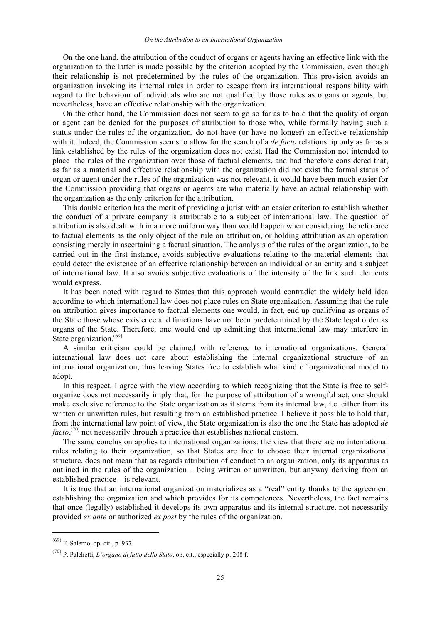On the one hand, the attribution of the conduct of organs or agents having an effective link with the organization to the latter is made possible by the criterion adopted by the Commission, even though their relationship is not predetermined by the rules of the organization. This provision avoids an organization invoking its internal rules in order to escape from its international responsibility with regard to the behaviour of individuals who are not qualified by those rules as organs or agents, but nevertheless, have an effective relationship with the organization.

On the other hand, the Commission does not seem to go so far as to hold that the quality of organ or agent can be denied for the purposes of attribution to those who, while formally having such a status under the rules of the organization, do not have (or have no longer) an effective relationship with it. Indeed, the Commission seems to allow for the search of a *de facto* relationship only as far as a link established by the rules of the organization does not exist. Had the Commission not intended to place the rules of the organization over those of factual elements, and had therefore considered that, as far as a material and effective relationship with the organization did not exist the formal status of organ or agent under the rules of the organization was not relevant, it would have been much easier for the Commission providing that organs or agents are who materially have an actual relationship with the organization as the only criterion for the attribution.

This double criterion has the merit of providing a jurist with an easier criterion to establish whether the conduct of a private company is attributable to a subject of international law. The question of attribution is also dealt with in a more uniform way than would happen when considering the reference to factual elements as the only object of the rule on attribution, or holding attribution as an operation consisting merely in ascertaining a factual situation. The analysis of the rules of the organization, to be carried out in the first instance, avoids subjective evaluations relating to the material elements that could detect the existence of an effective relationship between an individual or an entity and a subject of international law. It also avoids subjective evaluations of the intensity of the link such elements would express.

It has been noted with regard to States that this approach would contradict the widely held idea according to which international law does not place rules on State organization. Assuming that the rule on attribution gives importance to factual elements one would, in fact, end up qualifying as organs of the State those whose existence and functions have not been predetermined by the State legal order as organs of the State. Therefore, one would end up admitting that international law may interfere in State organization.<sup>(69)</sup>

A similar criticism could be claimed with reference to international organizations. General international law does not care about establishing the internal organizational structure of an international organization, thus leaving States free to establish what kind of organizational model to adopt.

In this respect, I agree with the view according to which recognizing that the State is free to selforganize does not necessarily imply that, for the purpose of attribution of a wrongful act, one should make exclusive reference to the State organization as it stems from its internal law, i.e. either from its written or unwritten rules, but resulting from an established practice. I believe it possible to hold that, from the international law point of view, the State organization is also the one the State has adopted *de facto*,<sup>(70)</sup> not necessarily through a practice that establishes national custom.

The same conclusion applies to international organizations: the view that there are no international rules relating to their organization, so that States are free to choose their internal organizational structure, does not mean that as regards attribution of conduct to an organization, only its apparatus as outlined in the rules of the organization – being written or unwritten, but anyway deriving from an established practice – is relevant.

It is true that an international organization materializes as a "real" entity thanks to the agreement establishing the organization and which provides for its competences. Nevertheless, the fact remains that once (legally) established it develops its own apparatus and its internal structure, not necessarily provided *ex ante* or authorized *ex post* by the rules of the organization.

 <sup>(69)</sup> F. Salerno, op. cit., p. 937.

<sup>(70)</sup> P. Palchetti, *L'organo di fatto dello Stato*, op. cit., especially p. 208 f.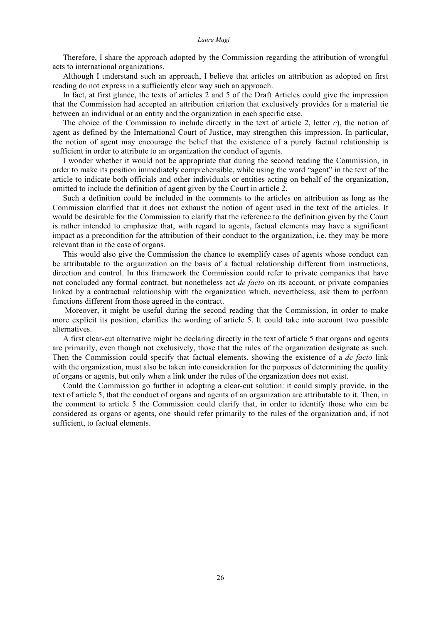Therefore, I share the approach adopted by the Commission regarding the attribution of wrongful acts to international organizations.

Although I understand such an approach, I believe that articles on attribution as adopted on first reading do not express in a sufficiently clear way such an approach.

In fact, at first glance, the texts of articles 2 and 5 of the Draft Articles could give the impression that the Commission had accepted an attribution criterion that exclusively provides for a material tie between an individual or an entity and the organization in each specific case.

The choice of the Commission to include directly in the text of article 2, letter *c*), the notion of agent as defined by the International Court of Justice, may strengthen this impression. In particular, the notion of agent may encourage the belief that the existence of a purely factual relationship is sufficient in order to attribute to an organization the conduct of agents.

I wonder whether it would not be appropriate that during the second reading the Commission, in order to make its position immediately comprehensible, while using the word "agent" in the text of the article to indicate both officials and other individuals or entities acting on behalf of the organization, omitted to include the definition of agent given by the Court in article 2.

Such a definition could be included in the comments to the articles on attribution as long as the Commission clarified that it does not exhaust the notion of agent used in the text of the articles. It would be desirable for the Commission to clarify that the reference to the definition given by the Court is rather intended to emphasize that, with regard to agents, factual elements may have a significant impact as a precondition for the attribution of their conduct to the organization, i.e. they may be more relevant than in the case of organs.

This would also give the Commission the chance to exemplify cases of agents whose conduct can be attributable to the organization on the basis of a factual relationship different from instructions, direction and control. In this framework the Commission could refer to private companies that have not concluded any formal contract, but nonetheless act *de facto* on its account, or private companies linked by a contractual relationship with the organization which, nevertheless, ask them to perform functions different from those agreed in the contract.

Moreover, it might be useful during the second reading that the Commission, in order to make more explicit its position, clarifies the wording of article 5. It could take into account two possible alternatives.

A first clear-cut alternative might be declaring directly in the text of article 5 that organs and agents are primarily, even though not exclusively, those that the rules of the organization designate as such. Then the Commission could specify that factual elements, showing the existence of a *de facto* link with the organization, must also be taken into consideration for the purposes of determining the quality of organs or agents, but only when a link under the rules of the organization does not exist.

Could the Commission go further in adopting a clear-cut solution: it could simply provide, in the text of article 5, that the conduct of organs and agents of an organization are attributable to it. Then, in the comment to article 5 the Commission could clarify that, in order to identify those who can be considered as organs or agents, one should refer primarily to the rules of the organization and, if not sufficient, to factual elements.